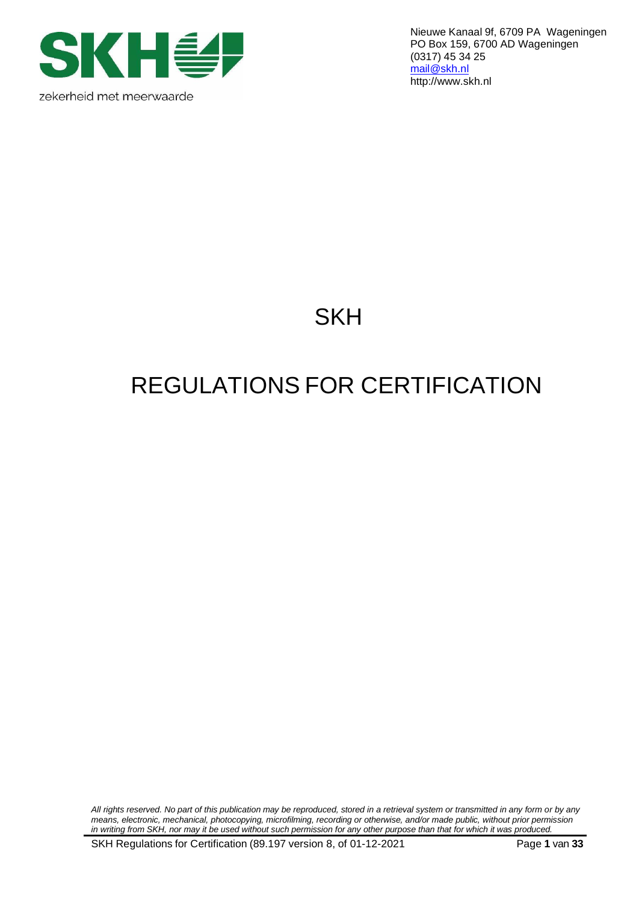

Nieuwe Kanaal 9f, 6709 PA Wageningen PO Box 159, 6700 AD Wageningen (0317) 45 34 25 [mail@skh.nl](mailto:mail@skh.nl) [http://www.skh.nl](http://www.skh.nl/)

# **SKH**

# REGULATIONS FOR CERTIFICATION

All rights reserved. No part of this publication may be reproduced, stored in a retrieval system or transmitted in any form or by any *means, electronic, mechanical, photocopying, microfilming, recording or otherwise, and/or made public, without prior permission* in writing from SKH, nor may it be used without such permission for any other purpose than that for which it was produced.

SKH Regulations for Certification (89.197 version 8, of 01-12-2021 Page **1** van **33**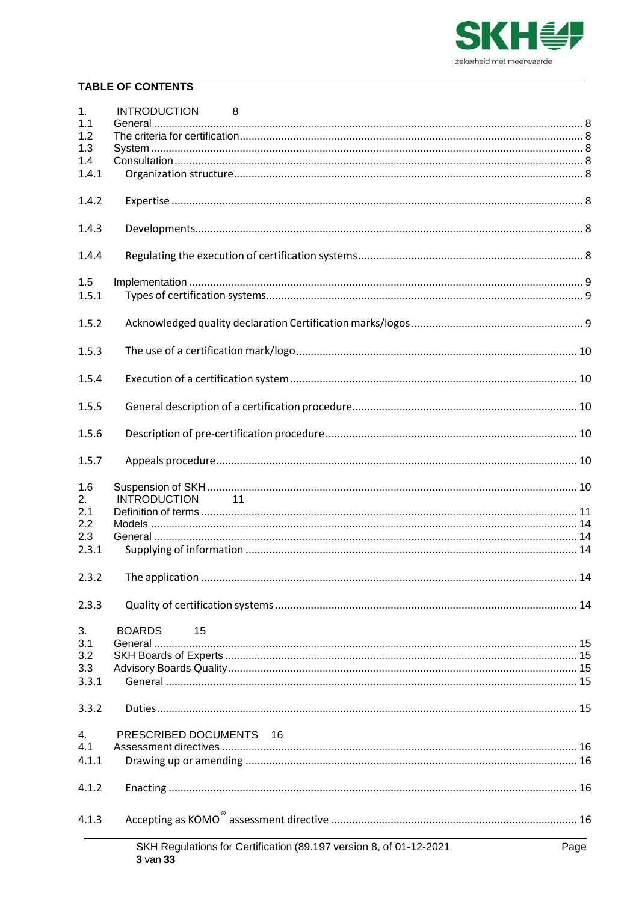

# **TABLE OF CONTENTS**

| 1.    |                                                                                |      |
|-------|--------------------------------------------------------------------------------|------|
| 1.1   |                                                                                |      |
| 1.2   |                                                                                |      |
| 1.3   |                                                                                |      |
| 1.4   |                                                                                |      |
| 1.4.1 |                                                                                |      |
| 1.4.2 |                                                                                |      |
| 1.4.3 |                                                                                |      |
| 1.4.4 |                                                                                |      |
|       |                                                                                |      |
| 1.5   |                                                                                |      |
| 1.5.1 |                                                                                |      |
| 1.5.2 |                                                                                |      |
| 1.5.3 |                                                                                |      |
| 1.5.4 |                                                                                |      |
| 1.5.5 |                                                                                |      |
| 1.5.6 |                                                                                |      |
| 1.5.7 |                                                                                |      |
| 1.6   |                                                                                |      |
|       |                                                                                |      |
| 2.    | 11<br><b>INTRODUCTION</b>                                                      |      |
| 2.1   |                                                                                |      |
| 2.2   |                                                                                |      |
| 2.3   |                                                                                |      |
| 2.3.1 |                                                                                |      |
| 2.3.2 |                                                                                |      |
| 2.3.3 |                                                                                |      |
| 3.    | <b>BOARDS</b><br>15                                                            |      |
| 3.1   |                                                                                |      |
| 3.2   |                                                                                |      |
| 3.3   |                                                                                |      |
| 3.3.1 |                                                                                |      |
| 3.3.2 |                                                                                |      |
|       |                                                                                |      |
| 4.    | PRESCRIBED DOCUMENTS 16                                                        |      |
| 4.1   |                                                                                |      |
| 4.1.1 |                                                                                |      |
| 4.1.2 |                                                                                |      |
| 4.1.3 |                                                                                |      |
|       | SKH Regulations for Certification (89.197 version 8, of 01-12-2021<br>3 van 33 | Page |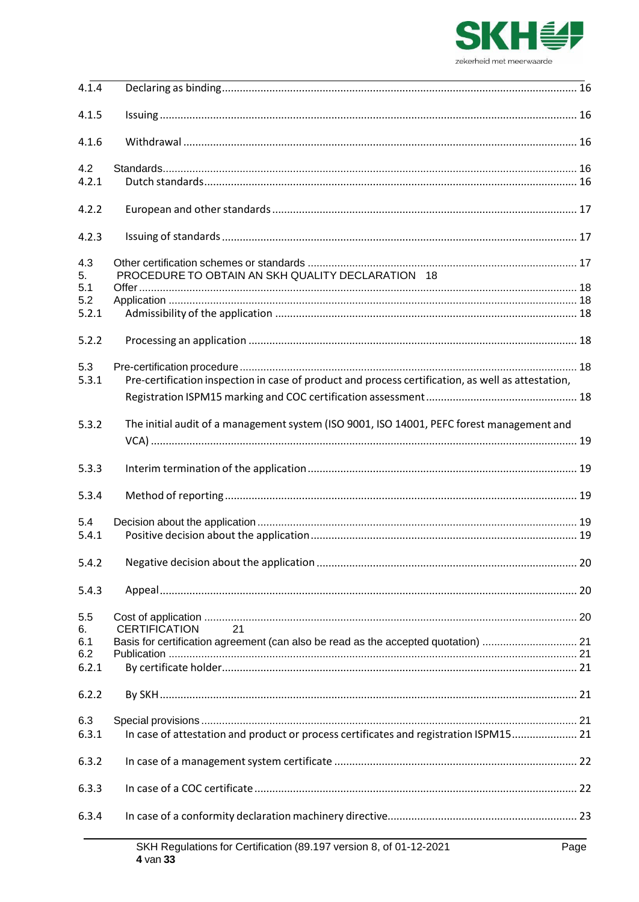

| 4.1.4 |                                                                                                    |  |
|-------|----------------------------------------------------------------------------------------------------|--|
| 4.1.5 |                                                                                                    |  |
| 4.1.6 |                                                                                                    |  |
| 4.2   |                                                                                                    |  |
| 4.2.1 |                                                                                                    |  |
| 4.2.2 |                                                                                                    |  |
| 4.2.3 |                                                                                                    |  |
| 4.3   |                                                                                                    |  |
| 5.    | PROCEDURE TO OBTAIN AN SKH QUALITY DECLARATION 18                                                  |  |
| 5.1   |                                                                                                    |  |
| 5.2   |                                                                                                    |  |
| 5.2.1 |                                                                                                    |  |
| 5.2.2 |                                                                                                    |  |
| 5.3   |                                                                                                    |  |
| 5.3.1 | Pre-certification inspection in case of product and process certification, as well as attestation, |  |
|       |                                                                                                    |  |
|       |                                                                                                    |  |
| 5.3.2 | The initial audit of a management system (ISO 9001, ISO 14001, PEFC forest management and          |  |
|       |                                                                                                    |  |
| 5.3.3 |                                                                                                    |  |
| 5.3.4 |                                                                                                    |  |
| 5.4   |                                                                                                    |  |
| 5.4.1 |                                                                                                    |  |
| 5.4.2 |                                                                                                    |  |
| 5.4.3 |                                                                                                    |  |
| 5.5   |                                                                                                    |  |
| 6.    | 21<br><b>CERTIFICATION</b>                                                                         |  |
| 6.1   | Basis for certification agreement (can also be read as the accepted quotation)  21                 |  |
| 6.2   |                                                                                                    |  |
| 6.2.1 |                                                                                                    |  |
| 6.2.2 |                                                                                                    |  |
| 6.3   |                                                                                                    |  |
| 6.3.1 | In case of attestation and product or process certificates and registration ISPM15 21              |  |
|       |                                                                                                    |  |
| 6.3.2 |                                                                                                    |  |
| 6.3.3 |                                                                                                    |  |
| 6.3.4 |                                                                                                    |  |
|       | $\frac{1}{2}$                                                                                      |  |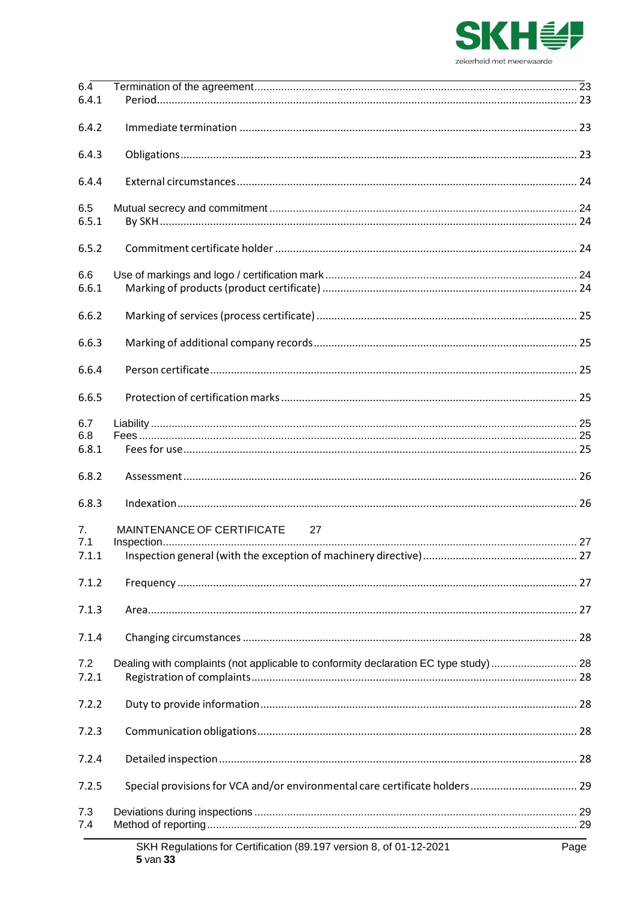

| $6.\overline{4}$ |                                                                                     |      |
|------------------|-------------------------------------------------------------------------------------|------|
| 6.4.1            |                                                                                     |      |
| 6.4.2            |                                                                                     |      |
| 6.4.3            |                                                                                     |      |
| 6.4.4            |                                                                                     |      |
| 6.5              |                                                                                     |      |
| 6.5.1            |                                                                                     |      |
| 6.5.2            |                                                                                     |      |
| 6.6              |                                                                                     |      |
| 6.6.1            |                                                                                     |      |
| 6.6.2            |                                                                                     |      |
| 6.6.3            |                                                                                     |      |
| 6.6.4            |                                                                                     |      |
| 6.6.5            |                                                                                     |      |
| 6.7              |                                                                                     |      |
| 6.8              |                                                                                     |      |
| 6.8.1            |                                                                                     |      |
| 6.8.2            |                                                                                     |      |
| 6.8.3            |                                                                                     |      |
| 7.               | MAINTENANCE OF CERTIFICATE 27                                                       |      |
| 7.1              |                                                                                     |      |
| 7.1.1            |                                                                                     |      |
| 7.1.2            |                                                                                     |      |
| 7.1.3            |                                                                                     |      |
| 7.1.4            |                                                                                     |      |
| 7.2              | Dealing with complaints (not applicable to conformity declaration EC type study) 28 |      |
| 7.2.1            |                                                                                     |      |
| 7.2.2            |                                                                                     |      |
| 7.2.3            |                                                                                     |      |
| 7.2.4            |                                                                                     |      |
| 7.2.5            | Special provisions for VCA and/or environmental care certificate holders 29         |      |
| 7.3<br>7.4       |                                                                                     |      |
|                  |                                                                                     |      |
|                  | SKH Regulations for Certification (89.197 version 8, of 01-12-2021<br>$5$ van $33$  | Page |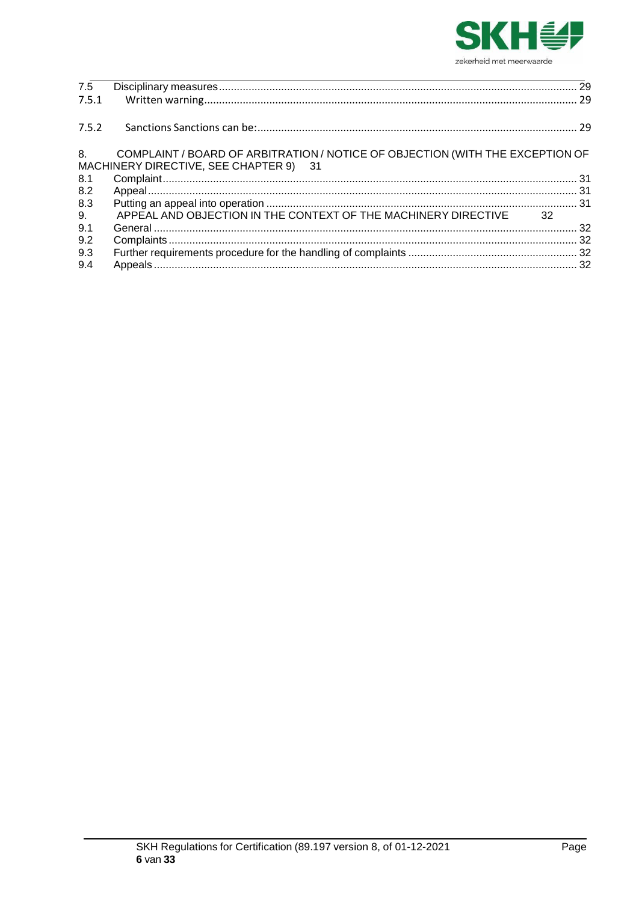

| 7.5.1<br>COMPLAINT / BOARD OF ARBITRATION / NOTICE OF OBJECTION (WITH THE EXCEPTION OF |  |
|----------------------------------------------------------------------------------------|--|
| 7.5.2<br>8.<br>MACHINERY DIRECTIVE, SEE CHAPTER 9) 31                                  |  |
|                                                                                        |  |
|                                                                                        |  |
| 8.1                                                                                    |  |
| 8.2                                                                                    |  |
| 8.3                                                                                    |  |
| 9.<br>APPEAL AND OBJECTION IN THE CONTEXT OF THE MACHINERY DIRECTIVE 32                |  |
| 9.1                                                                                    |  |
| 9.2                                                                                    |  |
| 9.3                                                                                    |  |
| 9.4                                                                                    |  |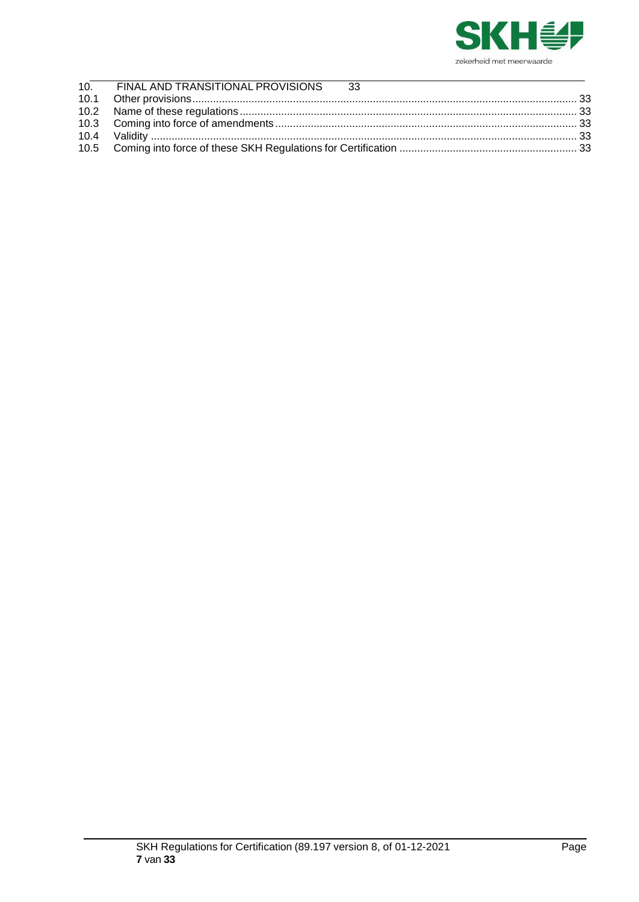

| 10. FINAL AND TRANSITIONAL PROVISIONS 33 |  |
|------------------------------------------|--|
|                                          |  |
|                                          |  |
|                                          |  |
|                                          |  |
|                                          |  |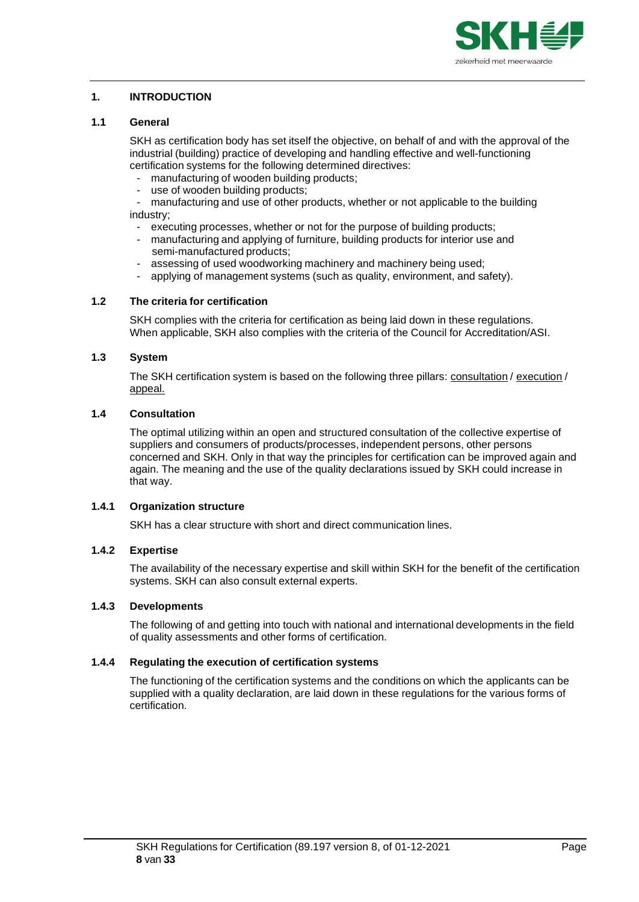

# <span id="page-7-0"></span>**1. INTRODUCTION**

# <span id="page-7-1"></span>**1.1 General**

SKH as certification body has set itself the objective, on behalf of and with the approval of the industrial (building) practice of developing and handling effective and well-functioning certification systems for the following determined directives:

- manufacturing of wooden building products;
- use of wooden building products;
- manufacturing and use of other products, whether or not applicable to the building industry;
- executing processes, whether or not for the purpose of building products;
- manufacturing and applying of furniture, building products for interior use and semi-manufactured products;
- assessing of used woodworking machinery and machinery being used;
- applying of management systems (such as quality, environment, and safety).

# <span id="page-7-2"></span>**1.2 The criteria for certification**

SKH complies with the criteria for certification as being laid down in these regulations. When applicable, SKH also complies with the criteria of the Council for Accreditation/ASI.

# <span id="page-7-3"></span>**1.3 System**

The SKH certification system is based on the following three pillars: consultation / execution / appeal.

## <span id="page-7-4"></span>**1.4 Consultation**

The optimal utilizing within an open and structured consultation of the collective expertise of suppliers and consumers of products/processes, independent persons, other persons concerned and SKH. Only in that way the principles for certification can be improved again and again. The meaning and the use of the quality declarations issued by SKH could increase in that way.

## <span id="page-7-5"></span>**1.4.1 Organization structure**

SKH has a clear structure with short and direct communication lines.

## <span id="page-7-6"></span>**1.4.2 Expertise**

The availability of the necessary expertise and skill within SKH for the benefit of the certification systems. SKH can also consult external experts.

# <span id="page-7-7"></span>**1.4.3 Developments**

The following of and getting into touch with national and international developments in the field of quality assessments and other forms of certification.

# <span id="page-7-8"></span>**1.4.4 Regulating the execution of certification systems**

The functioning of the certification systems and the conditions on which the applicants can be supplied with a quality declaration, are laid down in these regulations for the various forms of certification.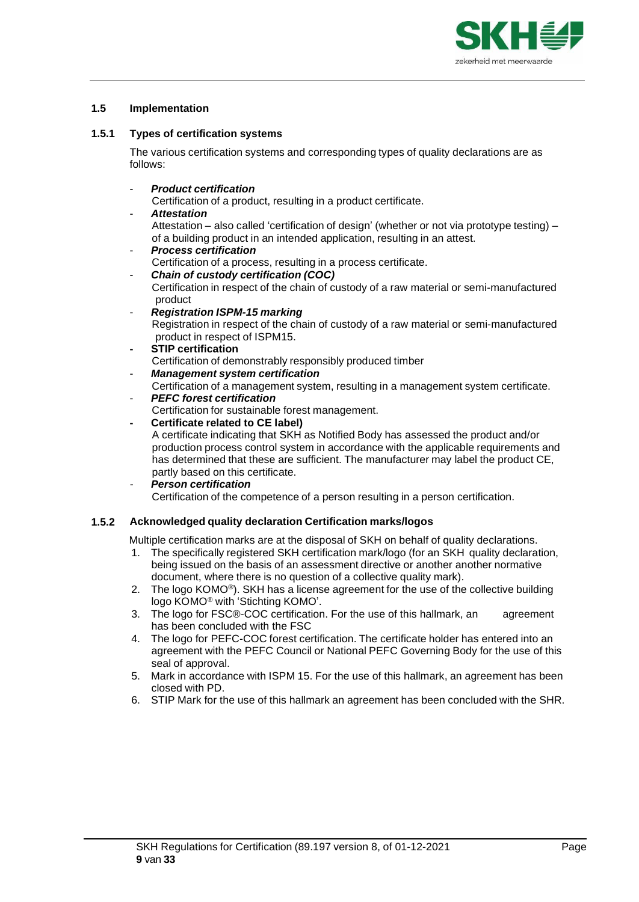

## <span id="page-8-0"></span>**1.5 Implementation**

# <span id="page-8-1"></span>**1.5.1 Types of certification systems**

The various certification systems and corresponding types of quality declarations are as follows:

# - *Product certification*

Certification of a product, resulting in a product certificate.

# - *Attestation*

Attestation – also called 'certification of design' (whether or not via prototype testing) – of a building product in an intended application, resulting in an attest.

- *Process certification* Certification of a process, resulting in a process certificate.
- *Chain of custody certification (COC)* Certification in respect of the chain of custody of a raw material or semi-manufactured product
- *Registration ISPM-15 marking*

Registration in respect of the chain of custody of a raw material or semi-manufactured product in respect of ISPM15.

**- STIP certification**

Certification of demonstrably responsibly produced timber

- *Management system certification* Certification of a management system, resulting in a management system certificate.
- *PEFC forest certification*
- Certification for sustainable forest management.

# **- Certificate related to CE label)**

A certificate indicating that SKH as Notified Body has assessed the product and/or production process control system in accordance with the applicable requirements and has determined that these are sufficient. The manufacturer may label the product CE, partly based on this certificate.

*- Person certification*

Certification of the competence of a person resulting in a person certification.

# <span id="page-8-2"></span>**1.5.2 Acknowledged quality declaration Certification marks/logos**

Multiple certification marks are at the disposal of SKH on behalf of quality declarations.

- 1. The specifically registered SKH certification mark/logo (for an SKH quality declaration, being issued on the basis of an assessment directive or another another normative document, where there is no question of a collective quality mark).
- 2. The logo KOMO<sup>®</sup>). SKH has a license agreement for the use of the collective building logo KOMO® with 'Stichting KOMO'.
- 3. The logo for FSC®-COC certification. For the use of this hallmark, an agreement has been concluded with the FSC
- 4. The logo for PEFC-COC forest certification. The certificate holder has entered into an agreement with the PEFC Council or National PEFC Governing Body for the use of this seal of approval.
- 5. Mark in accordance with ISPM 15. For the use of this hallmark, an agreement has been closed with PD.
- 6. STIP Mark for the use of this hallmark an agreement has been concluded with the SHR.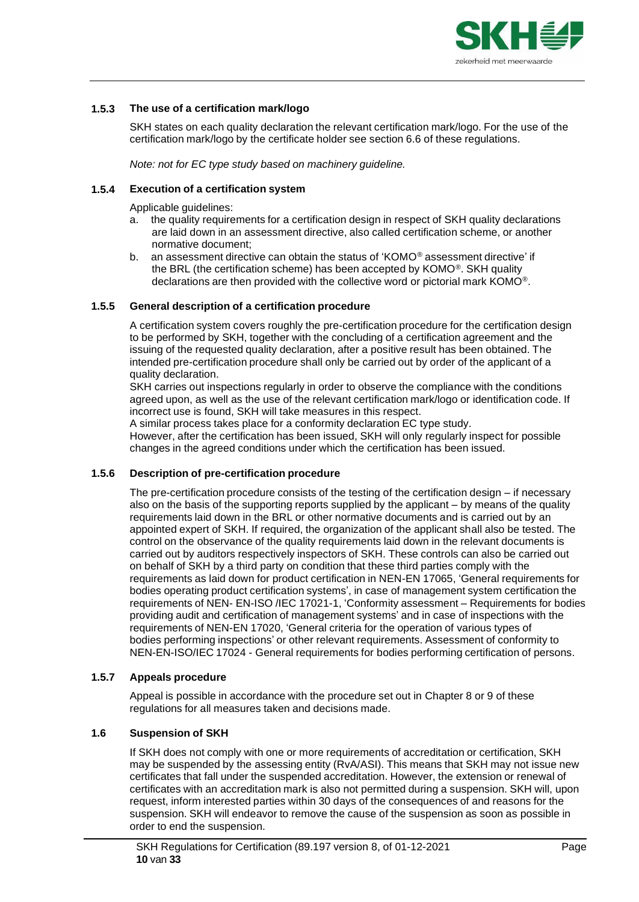

# <span id="page-9-0"></span>**1.5.3 The use of a certification mark/logo**

SKH states on each quality declaration the relevant certification mark/logo. For the use of the certification mark/logo by the certificate holder see section 6.6 of these regulations.

*Note: not for EC type study based on machinery guideline.*

## <span id="page-9-1"></span>**1.5.4 Execution of a certification system**

Applicable quidelines:

- a. the quality requirements for a certification design in respect of SKH quality declarations are laid down in an assessment directive, also called certification scheme, or another normative document;
- b. an assessment directive can obtain the status of 'KOMO*®* assessment directive' if the BRL (the certification scheme) has been accepted by KOMO®. SKH quality declarations are then provided with the collective word or pictorial mark KOMO®.

## <span id="page-9-2"></span>**1.5.5 General description of a certification procedure**

A certification system covers roughly the pre-certification procedure for the certification design to be performed by SKH, together with the concluding of a certification agreement and the issuing of the requested quality declaration, after a positive result has been obtained. The intended pre-certification procedure shall only be carried out by order of the applicant of a quality declaration.

SKH carries out inspections regularly in order to observe the compliance with the conditions agreed upon, as well as the use of the relevant certification mark/logo or identification code. If incorrect use is found, SKH will take measures in this respect.

A similar process takes place for a conformity declaration EC type study. However, after the certification has been issued, SKH will only regularly inspect for possible changes in the agreed conditions under which the certification has been issued.

## <span id="page-9-3"></span>**1.5.6 Description of pre-certification procedure**

The pre-certification procedure consists of the testing of the certification design – if necessary also on the basis of the supporting reports supplied by the applicant – by means of the quality requirements laid down in the BRL or other normative documents and is carried out by an appointed expert of SKH. If required, the organization of the applicant shall also be tested. The control on the observance of the quality requirements laid down in the relevant documents is carried out by auditors respectively inspectors of SKH. These controls can also be carried out on behalf of SKH by a third party on condition that these third parties comply with the requirements as laid down for product certification in NEN-EN 17065, 'General requirements for bodies operating product certification systems', in case of management system certification the requirements of NEN- EN-ISO /IEC 17021-1, 'Conformity assessment – Requirements for bodies providing audit and certification of management systems' and in case of inspections with the requirements of NEN-EN 17020, 'General criteria for the operation of various types of bodies performing inspections' or other relevant requirements. Assessment of conformity to NEN-EN-ISO/IEC 17024 - General requirements for bodies performing certification of persons.

## <span id="page-9-4"></span>**1.5.7 Appeals procedure**

Appeal is possible in accordance with the procedure set out in Chapter 8 or 9 of these regulations for all measures taken and decisions made.

## <span id="page-9-5"></span>**1.6 Suspension of SKH**

If SKH does not comply with one or more requirements of accreditation or certification, SKH may be suspended by the assessing entity (RvA/ASI). This means that SKH may not issue new certificates that fall under the suspended accreditation. However, the extension or renewal of certificates with an accreditation mark is also not permitted during a suspension. SKH will, upon request, inform interested parties within 30 days of the consequences of and reasons for the suspension. SKH will endeavor to remove the cause of the suspension as soon as possible in order to end the suspension.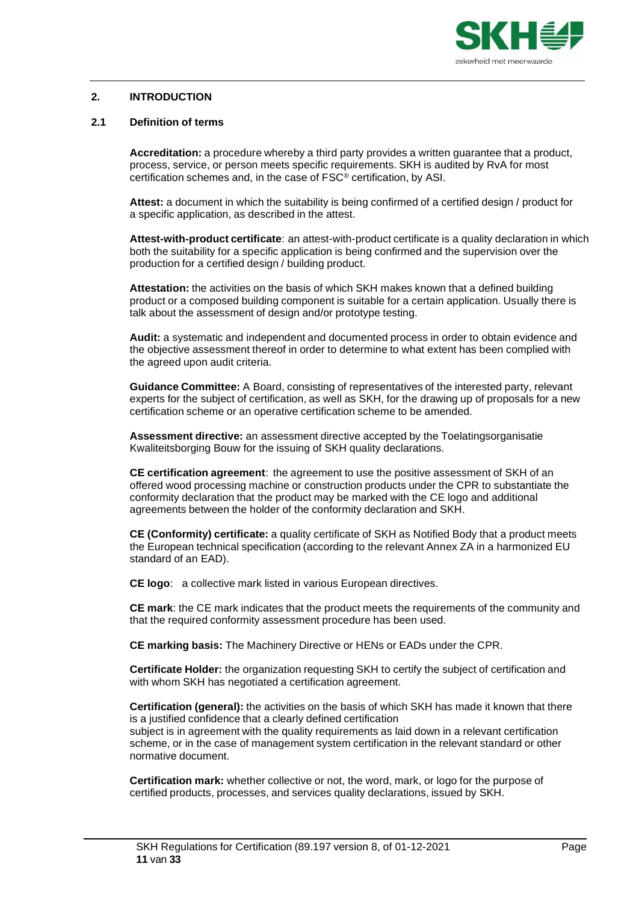

## <span id="page-10-0"></span>**2. INTRODUCTION**

## <span id="page-10-1"></span>**2.1 Definition of terms**

**Accreditation:** a procedure whereby a third party provides a written guarantee that a product, process, service, or person meets specific requirements. SKH is audited by RvA for most certification schemes and, in the case of FSC® certification, by ASI.

**Attest:** a document in which the suitability is being confirmed of a certified design / product for a specific application, as described in the attest.

**Attest-with-product certificate**: an attest-with-product certificate is a quality declaration in which both the suitability for a specific application is being confirmed and the supervision over the production for a certified design / building product.

**Attestation:** the activities on the basis of which SKH makes known that a defined building product or a composed building component is suitable for a certain application. Usually there is talk about the assessment of design and/or prototype testing.

**Audit:** a systematic and independent and documented process in order to obtain evidence and the objective assessment thereof in order to determine to what extent has been complied with the agreed upon audit criteria.

**Guidance Committee:** A Board, consisting of representatives of the interested party, relevant experts for the subject of certification, as well as SKH, for the drawing up of proposals for a new certification scheme or an operative certification scheme to be amended.

**Assessment directive:** an assessment directive accepted by the Toelatingsorganisatie Kwaliteitsborging Bouw for the issuing of SKH quality declarations.

**CE certification agreement**: the agreement to use the positive assessment of SKH of an offered wood processing machine or construction products under the CPR to substantiate the conformity declaration that the product may be marked with the CE logo and additional agreements between the holder of the conformity declaration and SKH.

**CE (Conformity) certificate:** a quality certificate of SKH as Notified Body that a product meets the European technical specification (according to the relevant Annex ZA in a harmonized EU standard of an EAD).

**CE logo**: a collective mark listed in various European directives.

**CE mark**: the CE mark indicates that the product meets the requirements of the community and that the required conformity assessment procedure has been used.

**CE marking basis:** The Machinery Directive or HENs or EADs under the CPR.

**Certificate Holder:** the organization requesting SKH to certify the subject of certification and with whom SKH has negotiated a certification agreement.

**Certification (general):** the activities on the basis of which SKH has made it known that there is a justified confidence that a clearly defined certification subject is in agreement with the quality requirements as laid down in a relevant certification scheme, or in the case of management system certification in the relevant standard or other normative document.

**Certification mark:** whether collective or not, the word, mark, or logo for the purpose of certified products, processes, and services quality declarations, issued by SKH.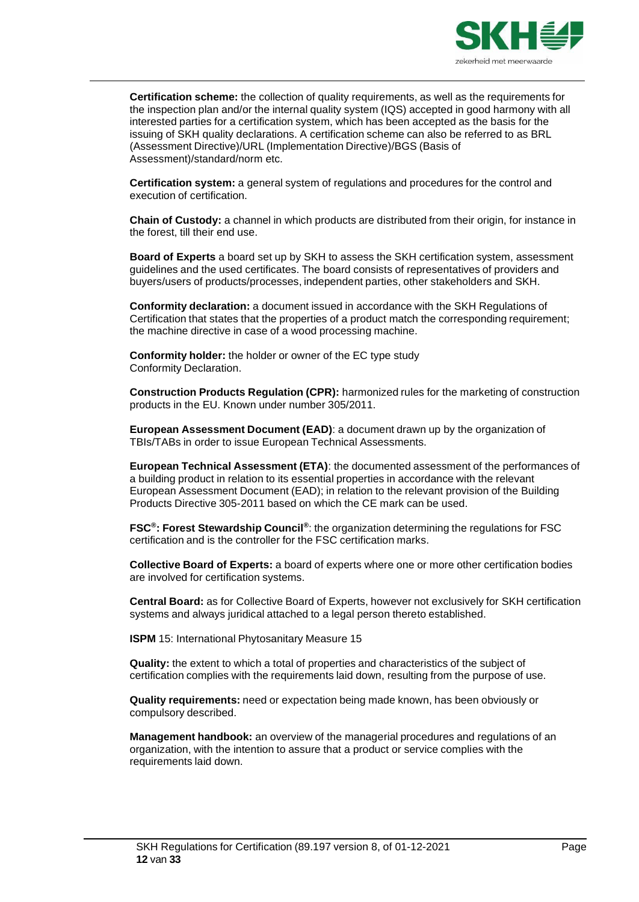

**Certification scheme:** the collection of quality requirements, as well as the requirements for the inspection plan and/or the internal quality system (IQS) accepted in good harmony with all interested parties for a certification system, which has been accepted as the basis for the issuing of SKH quality declarations. A certification scheme can also be referred to as BRL (Assessment Directive)/URL (Implementation Directive)/BGS (Basis of Assessment)/standard/norm etc.

**Certification system:** a general system of regulations and procedures for the control and execution of certification.

**Chain of Custody:** a channel in which products are distributed from their origin, for instance in the forest, till their end use.

**Board of Experts** a board set up by SKH to assess the SKH certification system, assessment guidelines and the used certificates. The board consists of representatives of providers and buyers/users of products/processes, independent parties, other stakeholders and SKH.

**Conformity declaration:** a document issued in accordance with the SKH Regulations of Certification that states that the properties of a product match the corresponding requirement; the machine directive in case of a wood processing machine.

**Conformity holder:** the holder or owner of the EC type study Conformity Declaration.

**Construction Products Regulation (CPR):** harmonized rules for the marketing of construction products in the EU. Known under number 305/2011.

**European Assessment Document (EAD)**: a document drawn up by the organization of TBIs/TABs in order to issue European Technical Assessments.

**European Technical Assessment (ETA)**: the documented assessment of the performances of a building product in relation to its essential properties in accordance with the relevant European Assessment Document (EAD); in relation to the relevant provision of the Building Products Directive 305-2011 based on which the CE mark can be used.

**FSC®: Forest Stewardship Council ®**: the organization determining the regulations for FSC certification and is the controller for the FSC certification marks.

**Collective Board of Experts:** a board of experts where one or more other certification bodies are involved for certification systems.

**Central Board:** as for Collective Board of Experts, however not exclusively for SKH certification systems and always juridical attached to a legal person thereto established.

**ISPM** 15: International Phytosanitary Measure 15

**Quality:** the extent to which a total of properties and characteristics of the subject of certification complies with the requirements laid down, resulting from the purpose of use.

**Quality requirements:** need or expectation being made known, has been obviously or compulsory described.

**Management handbook:** an overview of the managerial procedures and regulations of an organization, with the intention to assure that a product or service complies with the requirements laid down.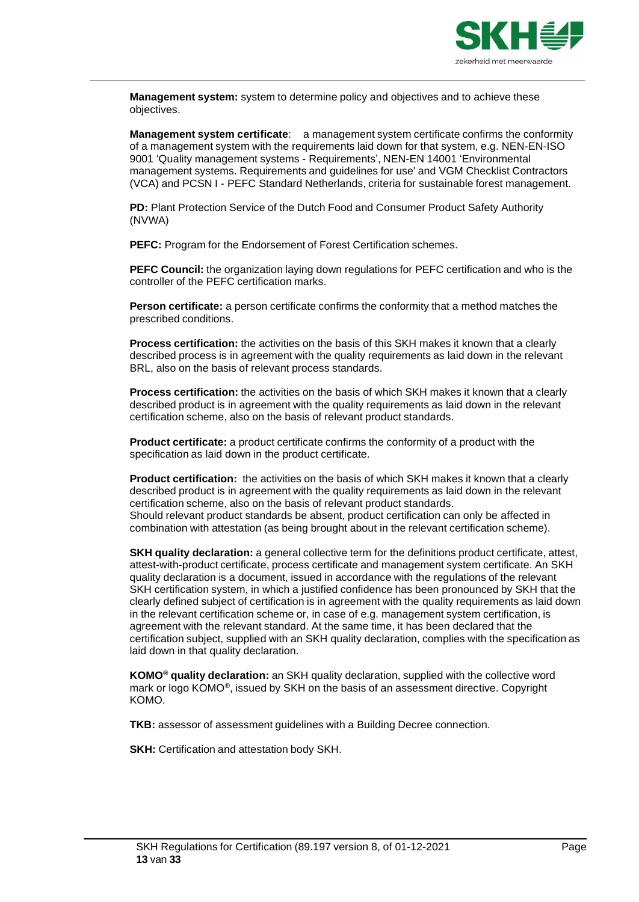

**Management system:** system to determine policy and objectives and to achieve these objectives.

**Management system certificate**: a management system certificate confirms the conformity of a management system with the requirements laid down for that system, e.g. NEN-EN-ISO 9001 'Quality management systems - Requirements', NEN-EN 14001 'Environmental management systems. Requirements and guidelines for use' and VGM Checklist Contractors (VCA) and PCSN I - PEFC Standard Netherlands, criteria for sustainable forest management.

**PD:** Plant Protection Service of the Dutch Food and Consumer Product Safety Authority (NVWA)

**PEFC:** Program for the Endorsement of Forest Certification schemes.

**PEFC Council:** the organization laying down regulations for PEFC certification and who is the controller of the PEFC certification marks.

**Person certificate:** a person certificate confirms the conformity that a method matches the prescribed conditions.

**Process certification:** the activities on the basis of this SKH makes it known that a clearly described process is in agreement with the quality requirements as laid down in the relevant BRL, also on the basis of relevant process standards.

**Process certification:** the activities on the basis of which SKH makes it known that a clearly described product is in agreement with the quality requirements as laid down in the relevant certification scheme, also on the basis of relevant product standards.

**Product certificate:** a product certificate confirms the conformity of a product with the specification as laid down in the product certificate.

**Product certification:** the activities on the basis of which SKH makes it known that a clearly described product is in agreement with the quality requirements as laid down in the relevant certification scheme, also on the basis of relevant product standards. Should relevant product standards be absent, product certification can only be affected in combination with attestation (as being brought about in the relevant certification scheme).

**SKH quality declaration:** a general collective term for the definitions product certificate, attest, attest-with-product certificate, process certificate and management system certificate. An SKH quality declaration is a document, issued in accordance with the regulations of the relevant SKH certification system, in which a justified confidence has been pronounced by SKH that the clearly defined subject of certification is in agreement with the quality requirements as laid down in the relevant certification scheme or, in case of e.g. management system certification, is agreement with the relevant standard. At the same time, it has been declared that the certification subject, supplied with an SKH quality declaration, complies with the specification as laid down in that quality declaration.

**KOMO® quality declaration:** an SKH quality declaration, supplied with the collective word mark or logo KOMO®, issued by SKH on the basis of an assessment directive. Copyright KOMO.

**TKB:** assessor of assessment guidelines with a Building Decree connection.

**SKH:** Certification and attestation body SKH.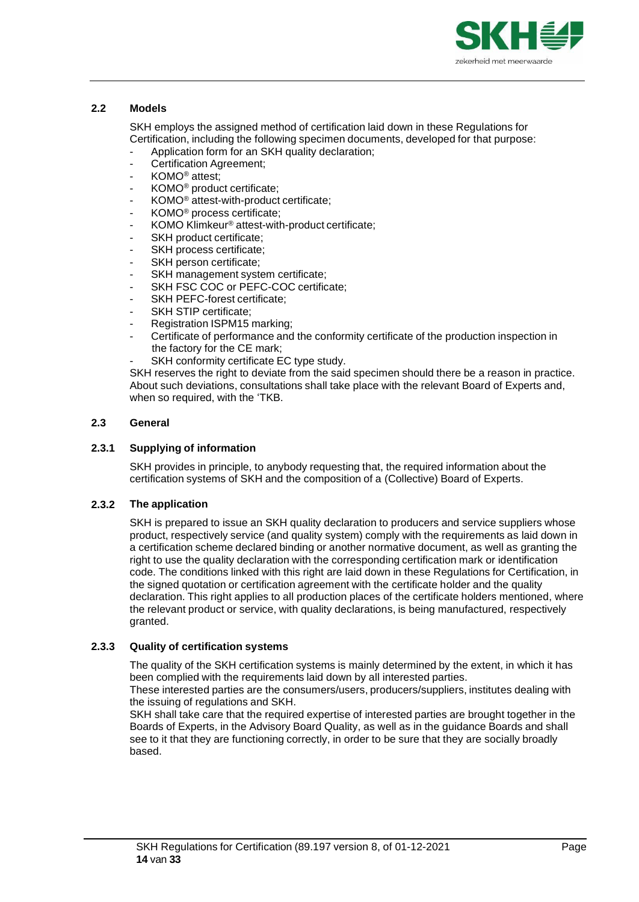

## <span id="page-13-0"></span>**2.2 Models**

SKH employs the assigned method of certification laid down in these Regulations for Certification, including the following specimen documents, developed for that purpose:

- Application form for an SKH quality declaration;
- Certification Agreement;
- KOMO® attest;
- KOMO® product certificate;
- KOMO® attest-with-product certificate;
- KOMO® process certificate;
- KOMO Klimkeur ® attest-with-product certificate;
- SKH product certificate;
- SKH process certificate;
- SKH person certificate;
- SKH management system certificate;
- SKH FSC COC or PEFC-COC certificate;
- SKH PEFC-forest certificate;
- SKH STIP certificate;
- Registration ISPM15 marking;
- Certificate of performance and the conformity certificate of the production inspection in the factory for the CE mark;
- SKH conformity certificate EC type study.

<span id="page-13-1"></span>SKH reserves the right to deviate from the said specimen should there be a reason in practice. About such deviations, consultations shall take place with the relevant Board of Experts and, when so required, with the 'TKB.

#### **2.3 General**

#### <span id="page-13-2"></span>**2.3.1 Supplying of information**

SKH provides in principle, to anybody requesting that, the required information about the certification systems of SKH and the composition of a (Collective) Board of Experts.

## <span id="page-13-3"></span>**2.3.2 The application**

SKH is prepared to issue an SKH quality declaration to producers and service suppliers whose product, respectively service (and quality system) comply with the requirements as laid down in a certification scheme declared binding or another normative document, as well as granting the right to use the quality declaration with the corresponding certification mark or identification code. The conditions linked with this right are laid down in these Regulations for Certification, in the signed quotation or certification agreement with the certificate holder and the quality declaration. This right applies to all production places of the certificate holders mentioned, where the relevant product or service, with quality declarations, is being manufactured, respectively granted.

## <span id="page-13-4"></span>**2.3.3 Quality of certification systems**

The quality of the SKH certification systems is mainly determined by the extent, in which it has been complied with the requirements laid down by all interested parties.

These interested parties are the consumers/users, producers/suppliers, institutes dealing with the issuing of regulations and SKH.

SKH shall take care that the required expertise of interested parties are brought together in the Boards of Experts, in the Advisory Board Quality, as well as in the guidance Boards and shall see to it that they are functioning correctly, in order to be sure that they are socially broadly based.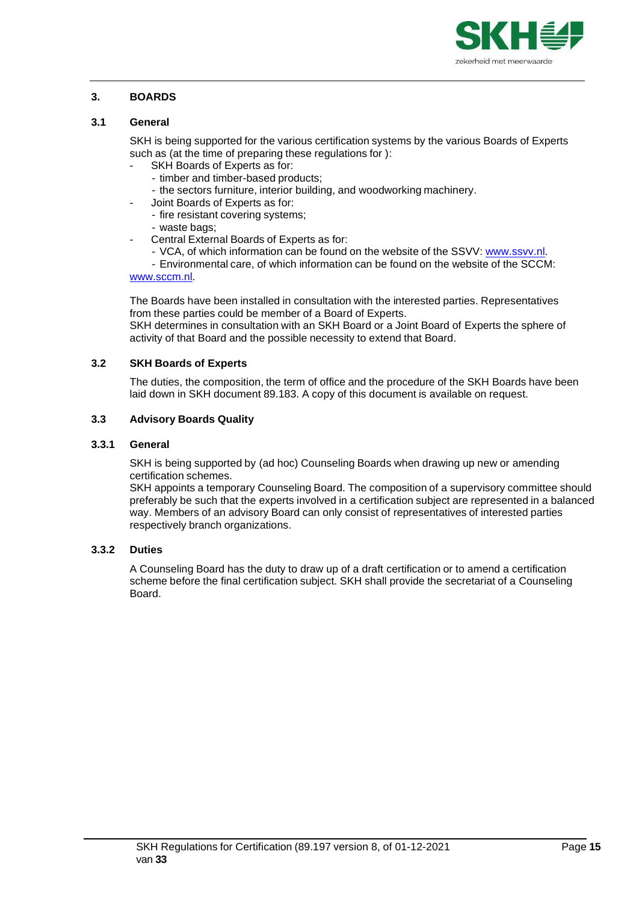

# <span id="page-14-0"></span>**3. BOARDS**

## <span id="page-14-1"></span>**3.1 General**

SKH is being supported for the various certification systems by the various Boards of Experts such as (at the time of preparing these regulations for ):

- SKH Boards of Experts as for:
- timber and timber-based products;
- the sectors furniture, interior building, and woodworking machinery.
- Joint Boards of Experts as for:
- fire resistant covering systems;
- waste bags;
- Central External Boards of Experts as for:
	- VCA, of which information can be found on the website of the SSVV: [www.ssvv.nl.](http://www.ssvv.nl/)

- Environmental care, of which information can be found on the website of the SCCM: [www.sccm.nl.](http://www.sccm.nl/)

The Boards have been installed in consultation with the interested parties. Representatives from these parties could be member of a Board of Experts.

SKH determines in consultation with an SKH Board or a Joint Board of Experts the sphere of activity of that Board and the possible necessity to extend that Board.

## <span id="page-14-2"></span>**3.2 SKH Boards of Experts**

The duties, the composition, the term of office and the procedure of the SKH Boards have been laid down in SKH document 89.183. A copy of this document is available on request.

#### <span id="page-14-3"></span>**3.3 Advisory Boards Quality**

#### <span id="page-14-4"></span>**3.3.1 General**

SKH is being supported by (ad hoc) Counseling Boards when drawing up new or amending certification schemes.

SKH appoints a temporary Counseling Board. The composition of a supervisory committee should preferably be such that the experts involved in a certification subject are represented in a balanced way. Members of an advisory Board can only consist of representatives of interested parties respectively branch organizations.

#### <span id="page-14-5"></span>**3.3.2 Duties**

A Counseling Board has the duty to draw up of a draft certification or to amend a certification scheme before the final certification subject. SKH shall provide the secretariat of a Counseling Board.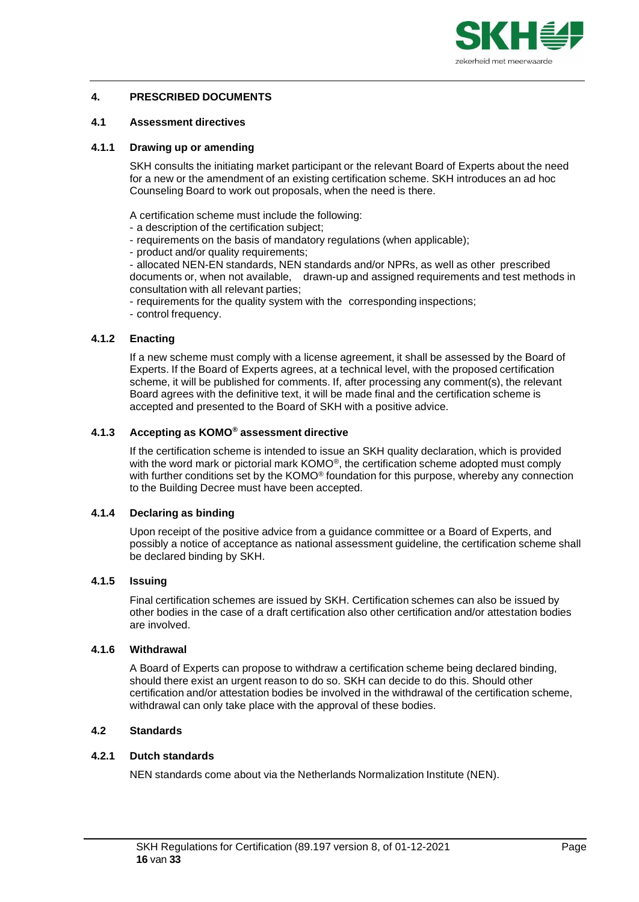

# <span id="page-15-0"></span>**4. PRESCRIBED DOCUMENTS**

#### <span id="page-15-1"></span>**4.1 Assessment directives**

#### <span id="page-15-2"></span>**4.1.1 Drawing up or amending**

SKH consults the initiating market participant or the relevant Board of Experts about the need for a new or the amendment of an existing certification scheme. SKH introduces an ad hoc Counseling Board to work out proposals, when the need is there.

A certification scheme must include the following:

- a description of the certification subject;
- requirements on the basis of mandatory regulations (when applicable);
- product and/or quality requirements;

- allocated NEN-EN standards, NEN standards and/or NPRs, as well as other prescribed documents or, when not available, drawn-up and assigned requirements and test methods in consultation with all relevant parties;

- requirements for the quality system with the corresponding inspections;

- control frequency.

## <span id="page-15-3"></span>**4.1.2 Enacting**

If a new scheme must comply with a license agreement, it shall be assessed by the Board of Experts. If the Board of Experts agrees, at a technical level, with the proposed certification scheme, it will be published for comments. If, after processing any comment(s), the relevant Board agrees with the definitive text, it will be made final and the certification scheme is accepted and presented to the Board of SKH with a positive advice.

#### <span id="page-15-4"></span>**4.1.3 Accepting as KOMO** *®* **assessment directive**

If the certification scheme is intended to issue an SKH quality declaration, which is provided with the word mark or pictorial mark  $KOMO^{\circledcirc}$ , the certification scheme adopted must comply with further conditions set by the KOMO® foundation for this purpose, whereby any connection to the Building Decree must have been accepted.

## <span id="page-15-5"></span>**4.1.4 Declaring as binding**

Upon receipt of the positive advice from a guidance committee or a Board of Experts, and possibly a notice of acceptance as national assessment guideline, the certification scheme shall be declared binding by SKH.

# <span id="page-15-6"></span>**4.1.5 Issuing**

Final certification schemes are issued by SKH. Certification schemes can also be issued by other bodies in the case of a draft certification also other certification and/or attestation bodies are involved.

#### <span id="page-15-7"></span>**4.1.6 Withdrawal**

A Board of Experts can propose to withdraw a certification scheme being declared binding, should there exist an urgent reason to do so. SKH can decide to do this. Should other certification and/or attestation bodies be involved in the withdrawal of the certification scheme, withdrawal can only take place with the approval of these bodies.

## <span id="page-15-8"></span>**4.2 Standards**

# <span id="page-15-10"></span><span id="page-15-9"></span>**4.2.1 Dutch standards**

NEN standards come about via the Netherlands Normalization Institute (NEN).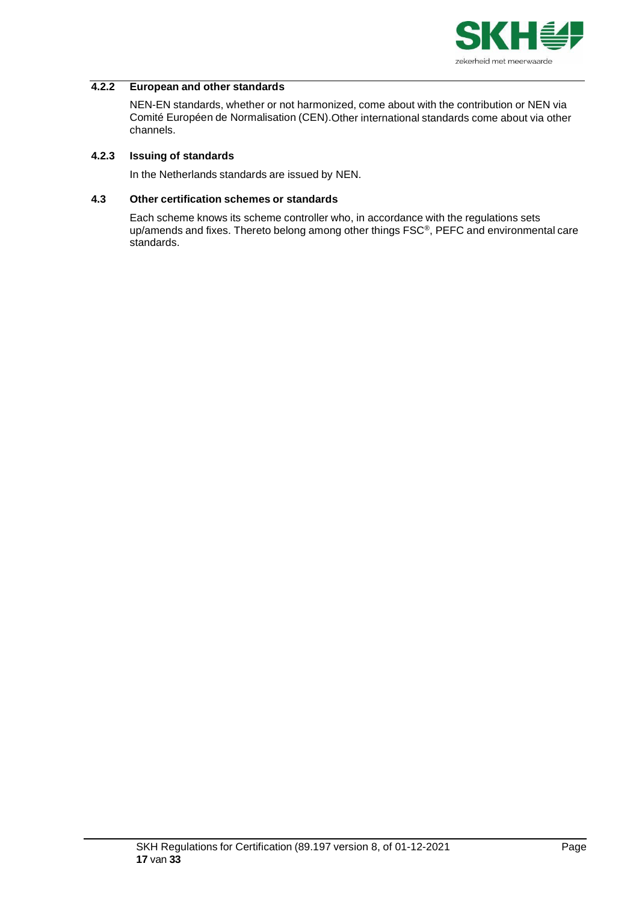

#### **4.2.2 European and other standards**

NEN-EN standards, whether or not harmonized, come about with the contribution or NEN via Comité Européen de Normalisation (CEN).Other international standards come about via other channels.

## <span id="page-16-0"></span>**4.2.3 Issuing of standards**

In the Netherlands standards are issued by NEN.

#### <span id="page-16-1"></span>**4.3 Other certification schemes or standards**

Each scheme knows its scheme controller who, in accordance with the regulations sets up/amends and fixes. Thereto belong among other things FSC®, PEFC and environmental care standards.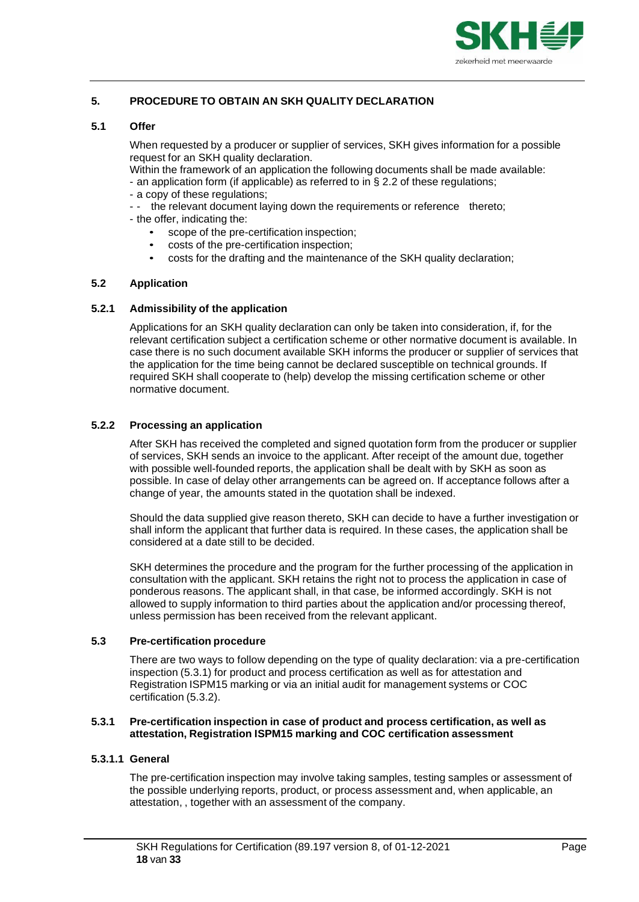

# <span id="page-17-0"></span>**5. PROCEDURE TO OBTAIN AN SKH QUALITY DECLARATION**

#### **5.1 Offer**

<span id="page-17-1"></span>When requested by a producer or supplier of services, SKH gives information for a possible request for an SKH quality declaration.

Within the framework of an application the following documents shall be made available: - an application form (if applicable) as referred to in § 2.2 of these regulations;

- a copy of these regulations;
- -- the relevant document laying down the requirements or reference thereto;
- the offer, indicating the:
	- scope of the pre-certification inspection;
	- costs of the pre-certification inspection;
	- costs for the drafting and the maintenance of the SKH quality declaration;

## <span id="page-17-2"></span>**5.2 Application**

#### <span id="page-17-3"></span>**5.2.1 Admissibility of the application**

Applications for an SKH quality declaration can only be taken into consideration, if, for the relevant certification subject a certification scheme or other normative document is available. In case there is no such document available SKH informs the producer or supplier of services that the application for the time being cannot be declared susceptible on technical grounds. If required SKH shall cooperate to (help) develop the missing certification scheme or other normative document.

## <span id="page-17-4"></span>**5.2.2 Processing an application**

After SKH has received the completed and signed quotation form from the producer or supplier of services, SKH sends an invoice to the applicant. After receipt of the amount due, together with possible well-founded reports, the application shall be dealt with by SKH as soon as possible. In case of delay other arrangements can be agreed on. If acceptance follows after a change of year, the amounts stated in the quotation shall be indexed.

Should the data supplied give reason thereto, SKH can decide to have a further investigation or shall inform the applicant that further data is required. In these cases, the application shall be considered at a date still to be decided.

SKH determines the procedure and the program for the further processing of the application in consultation with the applicant. SKH retains the right not to process the application in case of ponderous reasons. The applicant shall, in that case, be informed accordingly. SKH is not allowed to supply information to third parties about the application and/or processing thereof, unless permission has been received from the relevant applicant.

#### <span id="page-17-5"></span>**5.3 Pre-certification procedure**

There are two ways to follow depending on the type of quality declaration: via a pre-certification inspection (5.3.1) for product and process certification as well as for attestation and Registration ISPM15 marking or via an initial audit for management systems or COC certification (5.3.2).

#### <span id="page-17-6"></span>**5.3.1 Pre-certification inspection in case of product and process certification, as well as attestation, Registration ISPM15 marking and COC certification assessment**

## **5.3.1.1 General**

The pre-certification inspection may involve taking samples, testing samples or assessment of the possible underlying reports, product, or process assessment and, when applicable, an attestation, , together with an assessment of the company.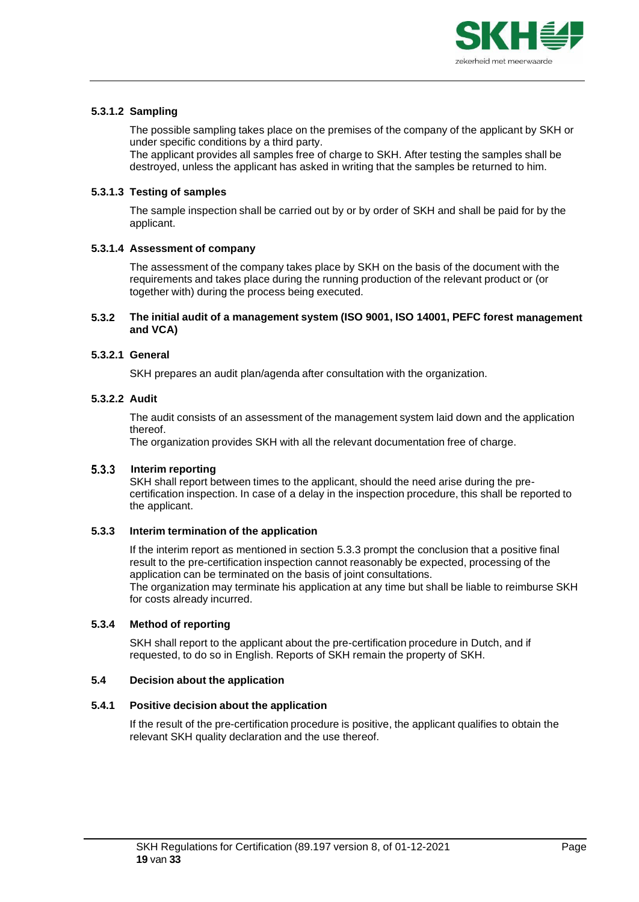

# **5.3.1.2 Sampling**

The possible sampling takes place on the premises of the company of the applicant by SKH or under specific conditions by a third party.

The applicant provides all samples free of charge to SKH. After testing the samples shall be destroyed, unless the applicant has asked in writing that the samples be returned to him.

## **5.3.1.3 Testing of samples**

The sample inspection shall be carried out by or by order of SKH and shall be paid for by the applicant.

# **5.3.1.4 Assessment of company**

The assessment of the company takes place by SKH on the basis of the document with the requirements and takes place during the running production of the relevant product or (or together with) during the process being executed.

## <span id="page-18-0"></span>**5.3.2 The initial audit of a management system (ISO 9001, ISO 14001, PEFC forest management and VCA)**

#### **5.3.2.1 General**

SKH prepares an audit plan/agenda after consultation with the organization.

#### **5.3.2.2 Audit**

The audit consists of an assessment of the management system laid down and the application thereof.

The organization provides SKH with all the relevant documentation free of charge.

#### **Interim reporting**

SKH shall report between times to the applicant, should the need arise during the precertification inspection. In case of a delay in the inspection procedure, this shall be reported to the applicant.

## <span id="page-18-1"></span>**5.3.3 Interim termination of the application**

If the interim report as mentioned in section 5.3.3 prompt the conclusion that a positive final result to the pre-certification inspection cannot reasonably be expected, processing of the application can be terminated on the basis of joint consultations. The organization may terminate his application at any time but shall be liable to reimburse SKH for costs already incurred.

#### <span id="page-18-2"></span>**5.3.4 Method of reporting**

SKH shall report to the applicant about the pre-certification procedure in Dutch, and if requested, to do so in English. Reports of SKH remain the property of SKH.

#### <span id="page-18-3"></span>**5.4 Decision about the application**

## <span id="page-18-4"></span>**5.4.1 Positive decision about the application**

If the result of the pre-certification procedure is positive, the applicant qualifies to obtain the relevant SKH quality declaration and the use thereof.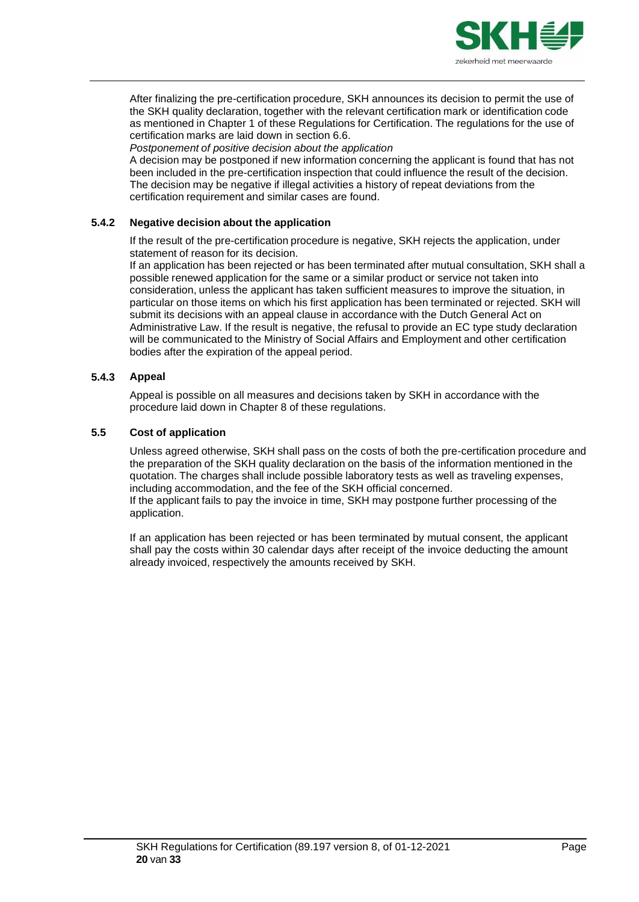

After finalizing the pre-certification procedure, SKH announces its decision to permit the use of the SKH quality declaration, together with the relevant certification mark or identification code as mentioned in Chapter 1 of these Regulations for Certification. The regulations for the use of certification marks are laid down in section 6.6.

*Postponement of positive decision about the application*

A decision may be postponed if new information concerning the applicant is found that has not been included in the pre-certification inspection that could influence the result of the decision. The decision may be negative if illegal activities a history of repeat deviations from the certification requirement and similar cases are found.

# <span id="page-19-0"></span>**5.4.2 Negative decision about the application**

If the result of the pre-certification procedure is negative, SKH rejects the application, under statement of reason for its decision.

If an application has been rejected or has been terminated after mutual consultation, SKH shall a possible renewed application for the same or a similar product or service not taken into consideration, unless the applicant has taken sufficient measures to improve the situation, in particular on those items on which his first application has been terminated or rejected. SKH will submit its decisions with an appeal clause in accordance with the Dutch General Act on Administrative Law. If the result is negative, the refusal to provide an EC type study declaration will be communicated to the Ministry of Social Affairs and Employment and other certification bodies after the expiration of the appeal period.

## <span id="page-19-1"></span>**5.4.3 Appeal**

Appeal is possible on all measures and decisions taken by SKH in accordance with the procedure laid down in Chapter 8 of these regulations.

## <span id="page-19-2"></span>**5.5 Cost of application**

Unless agreed otherwise, SKH shall pass on the costs of both the pre-certification procedure and the preparation of the SKH quality declaration on the basis of the information mentioned in the quotation. The charges shall include possible laboratory tests as well as traveling expenses, including accommodation, and the fee of the SKH official concerned. If the applicant fails to pay the invoice in time, SKH may postpone further processing of the application.

If an application has been rejected or has been terminated by mutual consent, the applicant shall pay the costs within 30 calendar days after receipt of the invoice deducting the amount already invoiced, respectively the amounts received by SKH.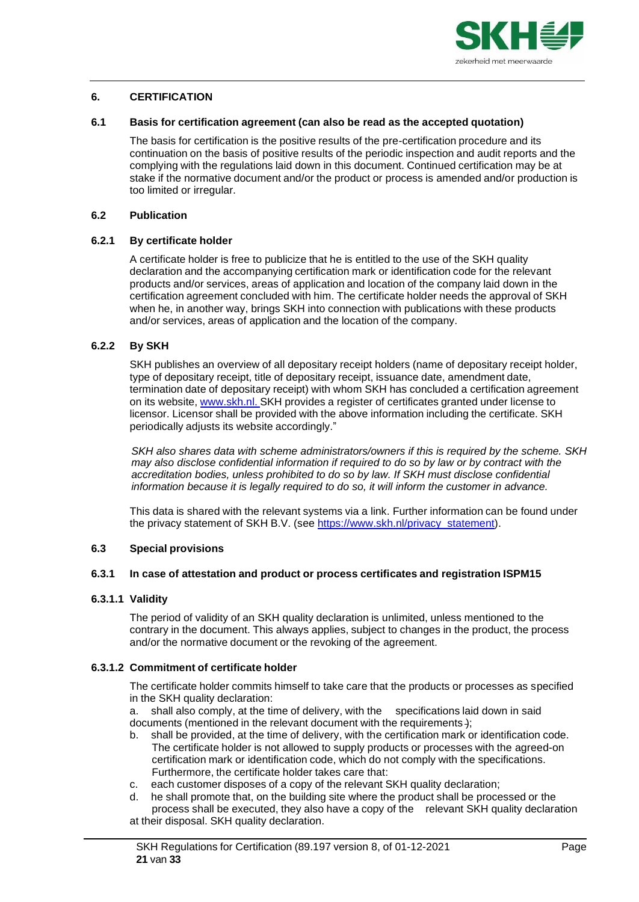

## <span id="page-20-0"></span>**6. CERTIFICATION**

#### **6.1 Basis for certification agreement (can also be read as the accepted quotation)**

<span id="page-20-1"></span>The basis for certification is the positive results of the pre-certification procedure and its continuation on the basis of positive results of the periodic inspection and audit reports and the complying with the regulations laid down in this document. Continued certification may be at stake if the normative document and/or the product or process is amended and/or production is too limited or irregular.

#### <span id="page-20-2"></span>**6.2 Publication**

## <span id="page-20-3"></span>**6.2.1 By certificate holder**

A certificate holder is free to publicize that he is entitled to the use of the SKH quality declaration and the accompanying certification mark or identification code for the relevant products and/or services, areas of application and location of the company laid down in the certification agreement concluded with him. The certificate holder needs the approval of SKH when he, in another way, brings SKH into connection with publications with these products and/or services, areas of application and the location of the company.

## <span id="page-20-4"></span>**6.2.2 By SKH**

SKH publishes an overview of all depositary receipt holders (name of depositary receipt holder, type of depositary receipt, title of depositary receipt, issuance date, amendment date, termination date of depositary receipt) with whom SKH has concluded a certification agreement on its website, [www.skh.nl.](http://www.skh.nl/) SKH provides a register of certificates granted under license to licensor. Licensor shall be provided with the above information including the certificate. SKH periodically adjusts its website accordingly."

*SKH also shares data with scheme administrators/owners if this is required by the scheme. SKH may also disclose confidential information if required to do so by law or by contract with the accreditation bodies, unless prohibited to do so by law. If SKH must disclose confidential information because it is legally required to do so, it will inform the customer in advance.*

This data is shared with the relevant systems via a link. Further information can be found under the privacy statement of SKH B.V. (see [https://www.skh.nl/privacy\\_statement\)](https://www.skh.nl/downloads/89-196-privacy-statement-skh-i-v-m-nieuwe-avg-d-d-16-05-2018.pdf).

# <span id="page-20-5"></span>**6.3 Special provisions**

#### <span id="page-20-6"></span>**6.3.1 In case of attestation and product or process certificates and registration ISPM15**

#### **6.3.1.1 Validity**

The period of validity of an SKH quality declaration is unlimited, unless mentioned to the contrary in the document. This always applies, subject to changes in the product, the process and/or the normative document or the revoking of the agreement.

## **6.3.1.2 Commitment of certificate holder**

The certificate holder commits himself to take care that the products or processes as specified in the SKH quality declaration:

a. shall also comply, at the time of delivery, with the specifications laid down in said documents (mentioned in the relevant document with the requirements );

- b. shall be provided, at the time of delivery, with the certification mark or identification code. The certificate holder is not allowed to supply products or processes with the agreed-on certification mark or identification code, which do not comply with the specifications. Furthermore, the certificate holder takes care that:
- c. each customer disposes of a copy of the relevant SKH quality declaration;
- d. he shall promote that, on the building site where the product shall be processed or the process shall be executed, they also have a copy of the relevant SKH quality declaration at their disposal. SKH quality declaration.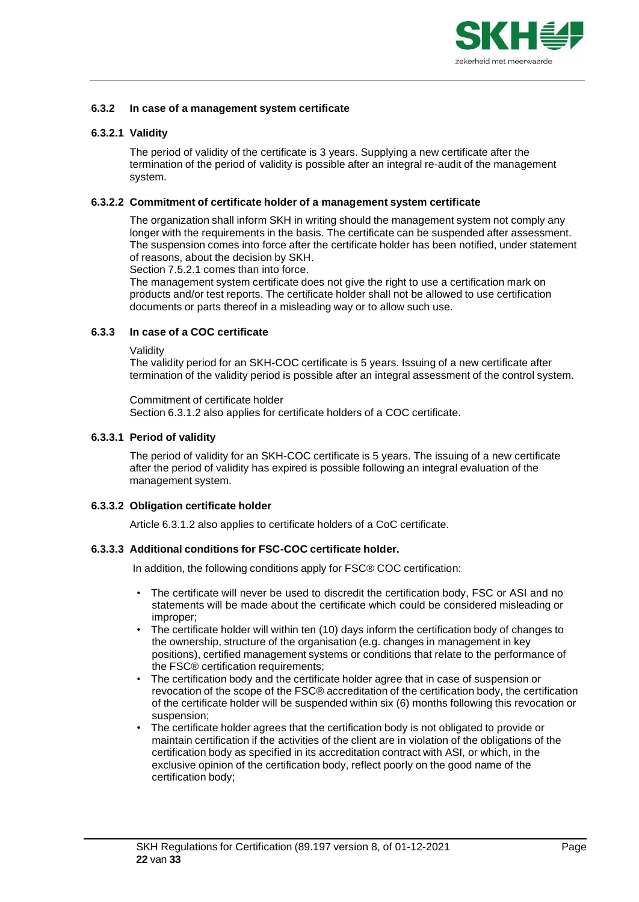

## <span id="page-21-0"></span>**6.3.2 In case of a management system certificate**

# **6.3.2.1 Validity**

The period of validity of the certificate is 3 years. Supplying a new certificate after the termination of the period of validity is possible after an integral re-audit of the management system.

## **6.3.2.2 Commitment of certificate holder of a management system certificate**

The organization shall inform SKH in writing should the management system not comply any longer with the requirements in the basis. The certificate can be suspended after assessment. The suspension comes into force after the certificate holder has been notified, under statement of reasons, about the decision by SKH.

Section 7.5.2.1 comes than into force.

The management system certificate does not give the right to use a certification mark on products and/or test reports. The certificate holder shall not be allowed to use certification documents or parts thereof in a misleading way or to allow such use.

# <span id="page-21-1"></span>**6.3.3 In case of a COC certificate**

Validity

The validity period for an SKH-COC certificate is 5 years. Issuing of a new certificate after termination of the validity period is possible after an integral assessment of the control system.

#### Commitment of certificate holder Section 6.3.1.2 also applies for certificate holders of a COC certificate.

## **6.3.3.1 Period of validity**

The period of validity for an SKH-COC certificate is 5 years. The issuing of a new certificate after the period of validity has expired is possible following an integral evaluation of the management system.

## **6.3.3.2 Obligation certificate holder**

Article 6.3.1.2 also applies to certificate holders of a CoC certificate.

## **6.3.3.3 Additional conditions for FSC-COC certificate holder.**

In addition, the following conditions apply for FSC® COC certification:

- The certificate will never be used to discredit the certification body, FSC or ASI and no statements will be made about the certificate which could be considered misleading or improper;
- The certificate holder will within ten (10) days inform the certification body of changes to the ownership, structure of the organisation (e.g. changes in management in key positions), certified management systems or conditions that relate to the performance of the FSC® certification requirements;
- The certification body and the certificate holder agree that in case of suspension or revocation of the scope of the FSC® accreditation of the certification body, the certification of the certificate holder will be suspended within six (6) months following this revocation or suspension;
- The certificate holder agrees that the certification body is not obligated to provide or maintain certification if the activities of the client are in violation of the obligations of the certification body as specified in its accreditation contract with ASI, or which, in the exclusive opinion of the certification body, reflect poorly on the good name of the certification body;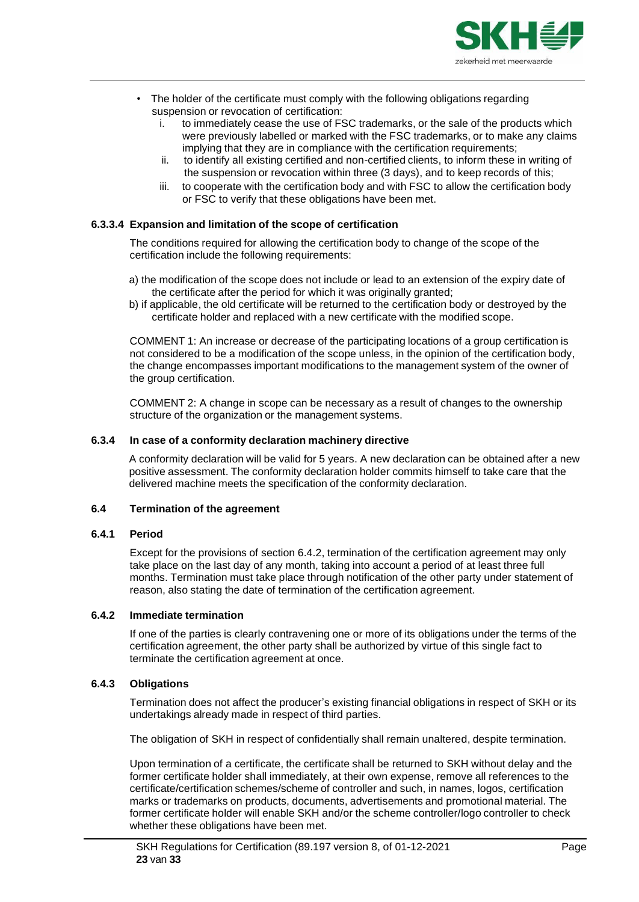

- The holder of the certificate must comply with the following obligations regarding suspension or revocation of certification:
	- i. to immediately cease the use of FSC trademarks, or the sale of the products which were previously labelled or marked with the FSC trademarks, or to make any claims implying that they are in compliance with the certification requirements;
	- ii. to identify all existing certified and non-certified clients, to inform these in writing of the suspension or revocation within three (3 days), and to keep records of this;
	- iii. to cooperate with the certification body and with FSC to allow the certification body or FSC to verify that these obligations have been met.

## **6.3.3.4 Expansion and limitation of the scope of certification**

The conditions required for allowing the certification body to change of the scope of the certification include the following requirements:

- a) the modification of the scope does not include or lead to an extension of the expiry date of the certificate after the period for which it was originally granted;
- b) if applicable, the old certificate will be returned to the certification body or destroyed by the certificate holder and replaced with a new certificate with the modified scope.

COMMENT 1: An increase or decrease of the participating locations of a group certification is not considered to be a modification of the scope unless, in the opinion of the certification body, the change encompasses important modifications to the management system of the owner of the group certification.

COMMENT 2: A change in scope can be necessary as a result of changes to the ownership structure of the organization or the management systems.

## <span id="page-22-0"></span>**6.3.4 In case of a conformity declaration machinery directive**

A conformity declaration will be valid for 5 years. A new declaration can be obtained after a new positive assessment. The conformity declaration holder commits himself to take care that the delivered machine meets the specification of the conformity declaration.

## <span id="page-22-1"></span>**6.4 Termination of the agreement**

## <span id="page-22-2"></span>**6.4.1 Period**

Except for the provisions of section 6.4.2, termination of the certification agreement may only take place on the last day of any month, taking into account a period of at least three full months. Termination must take place through notification of the other party under statement of reason, also stating the date of termination of the certification agreement.

## <span id="page-22-3"></span>**6.4.2 Immediate termination**

If one of the parties is clearly contravening one or more of its obligations under the terms of the certification agreement, the other party shall be authorized by virtue of this single fact to terminate the certification agreement at once.

## <span id="page-22-4"></span>**6.4.3 Obligations**

Termination does not affect the producer's existing financial obligations in respect of SKH or its undertakings already made in respect of third parties.

The obligation of SKH in respect of confidentially shall remain unaltered, despite termination.

Upon termination of a certificate, the certificate shall be returned to SKH without delay and the former certificate holder shall immediately, at their own expense, remove all references to the certificate/certification schemes/scheme of controller and such, in names, logos, certification marks or trademarks on products, documents, advertisements and promotional material. The former certificate holder will enable SKH and/or the scheme controller/logo controller to check whether these obligations have been met.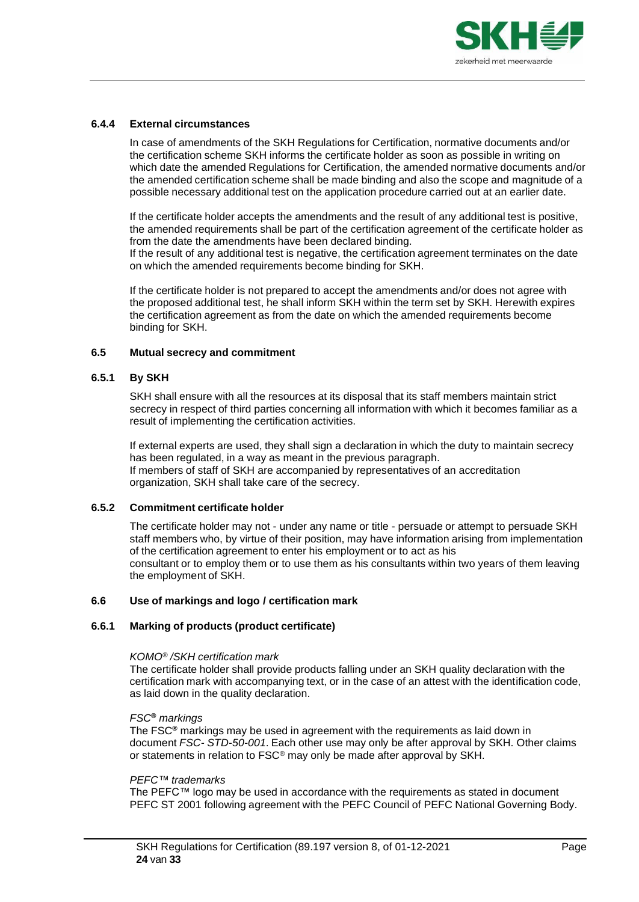

# <span id="page-23-0"></span>**6.4.4 External circumstances**

In case of amendments of the SKH Regulations for Certification, normative documents and/or the certification scheme SKH informs the certificate holder as soon as possible in writing on which date the amended Regulations for Certification, the amended normative documents and/or the amended certification scheme shall be made binding and also the scope and magnitude of a possible necessary additional test on the application procedure carried out at an earlier date.

If the certificate holder accepts the amendments and the result of any additional test is positive, the amended requirements shall be part of the certification agreement of the certificate holder as from the date the amendments have been declared binding.

If the result of any additional test is negative, the certification agreement terminates on the date on which the amended requirements become binding for SKH.

If the certificate holder is not prepared to accept the amendments and/or does not agree with the proposed additional test, he shall inform SKH within the term set by SKH. Herewith expires the certification agreement as from the date on which the amended requirements become binding for SKH.

#### <span id="page-23-1"></span>**6.5 Mutual secrecy and commitment**

#### <span id="page-23-2"></span>**6.5.1 By SKH**

SKH shall ensure with all the resources at its disposal that its staff members maintain strict secrecy in respect of third parties concerning all information with which it becomes familiar as a result of implementing the certification activities.

If external experts are used, they shall sign a declaration in which the duty to maintain secrecy has been regulated, in a way as meant in the previous paragraph. If members of staff of SKH are accompanied by representatives of an accreditation organization, SKH shall take care of the secrecy.

## <span id="page-23-3"></span>**6.5.2 Commitment certificate holder**

The certificate holder may not - under any name or title - persuade or attempt to persuade SKH staff members who, by virtue of their position, may have information arising from implementation of the certification agreement to enter his employment or to act as his consultant or to employ them or to use them as his consultants within two years of them leaving the employment of SKH.

## <span id="page-23-4"></span>**6.6 Use of markings and logo / certification mark**

# <span id="page-23-5"></span>**6.6.1 Marking of products (product certificate)**

#### *KOMO® /SKH certification mark*

The certificate holder shall provide products falling under an SKH quality declaration with the certification mark with accompanying text, or in the case of an attest with the identification code, as laid down in the quality declaration.

#### *FSC***®** *markings*

The FSC**®** markings may be used in agreement with the requirements as laid down in document *FSC- STD-50-001*. Each other use may only be after approval by SKH. Other claims or statements in relation to FSC® may only be made after approval by SKH.

#### *PEFC™ trademarks*

The PEFC™ logo may be used in accordance with the requirements as stated in document PEFC ST 2001 following agreement with the PEFC Council of PEFC National Governing Body.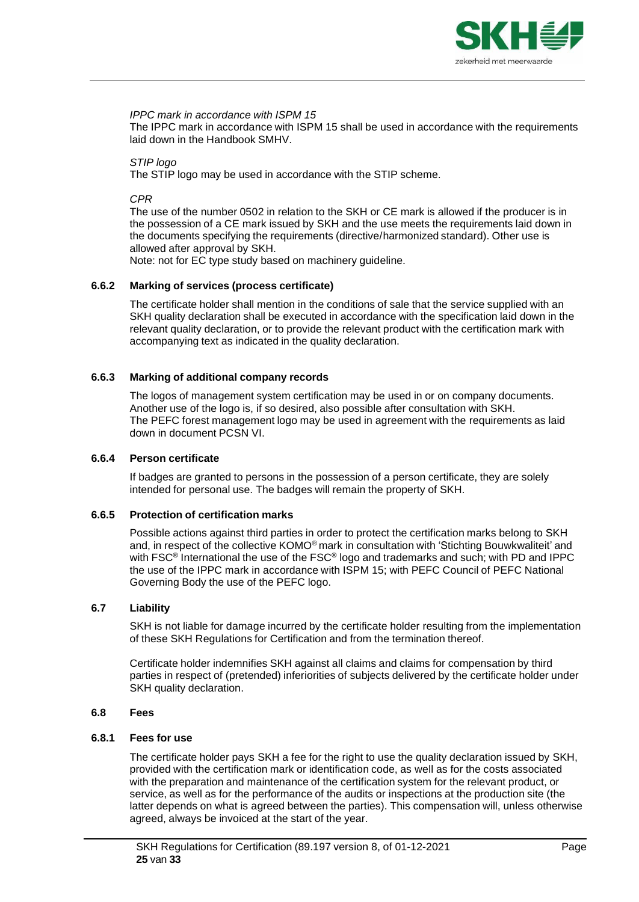

#### *IPPC mark in accordance with ISPM 15*

The IPPC mark in accordance with ISPM 15 shall be used in accordance with the requirements laid down in the Handbook SMHV.

# *STIP logo*

The STIP logo may be used in accordance with the STIP scheme.

#### *CPR*

The use of the number 0502 in relation to the SKH or CE mark is allowed if the producer is in the possession of a CE mark issued by SKH and the use meets the requirements laid down in the documents specifying the requirements (directive/harmonized standard). Other use is allowed after approval by SKH.

Note: not for EC type study based on machinery guideline.

## <span id="page-24-0"></span>**6.6.2 Marking of services (process certificate)**

The certificate holder shall mention in the conditions of sale that the service supplied with an SKH quality declaration shall be executed in accordance with the specification laid down in the relevant quality declaration, or to provide the relevant product with the certification mark with accompanying text as indicated in the quality declaration.

#### <span id="page-24-1"></span>**6.6.3 Marking of additional company records**

The logos of management system certification may be used in or on company documents. Another use of the logo is, if so desired, also possible after consultation with SKH. The PEFC forest management logo may be used in agreement with the requirements as laid down in document PCSN VI.

## <span id="page-24-2"></span>**6.6.4 Person certificate**

If badges are granted to persons in the possession of a person certificate, they are solely intended for personal use. The badges will remain the property of SKH.

## <span id="page-24-3"></span>**6.6.5 Protection of certification marks**

Possible actions against third parties in order to protect the certification marks belong to SKH and, in respect of the collective KOMO® mark in consultation with 'Stichting Bouwkwaliteit' and with FSC**®** International the use of the FSC**®** logo and trademarks and such; with PD and IPPC the use of the IPPC mark in accordance with ISPM 15; with PEFC Council of PEFC National Governing Body the use of the PEFC logo.

## <span id="page-24-4"></span>**6.7 Liability**

SKH is not liable for damage incurred by the certificate holder resulting from the implementation of these SKH Regulations for Certification and from the termination thereof.

<span id="page-24-5"></span>Certificate holder indemnifies SKH against all claims and claims for compensation by third parties in respect of (pretended) inferiorities of subjects delivered by the certificate holder under SKH quality declaration.

#### **6.8 Fees**

#### <span id="page-24-6"></span>**6.8.1 Fees for use**

The certificate holder pays SKH a fee for the right to use the quality declaration issued by SKH, provided with the certification mark or identification code, as well as for the costs associated with the preparation and maintenance of the certification system for the relevant product, or service, as well as for the performance of the audits or inspections at the production site (the latter depends on what is agreed between the parties). This compensation will, unless otherwise agreed, always be invoiced at the start of the year.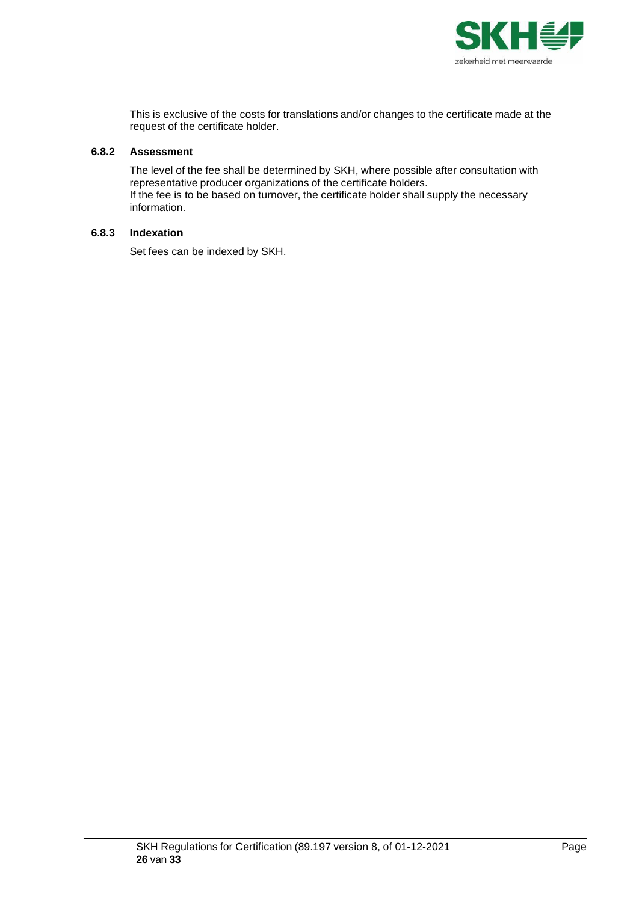

This is exclusive of the costs for translations and/or changes to the certificate made at the request of the certificate holder.

## <span id="page-25-0"></span>**6.8.2 Assessment**

The level of the fee shall be determined by SKH, where possible after consultation with representative producer organizations of the certificate holders. If the fee is to be based on turnover, the certificate holder shall supply the necessary information.

# <span id="page-25-1"></span>**6.8.3 Indexation**

Set fees can be indexed by SKH.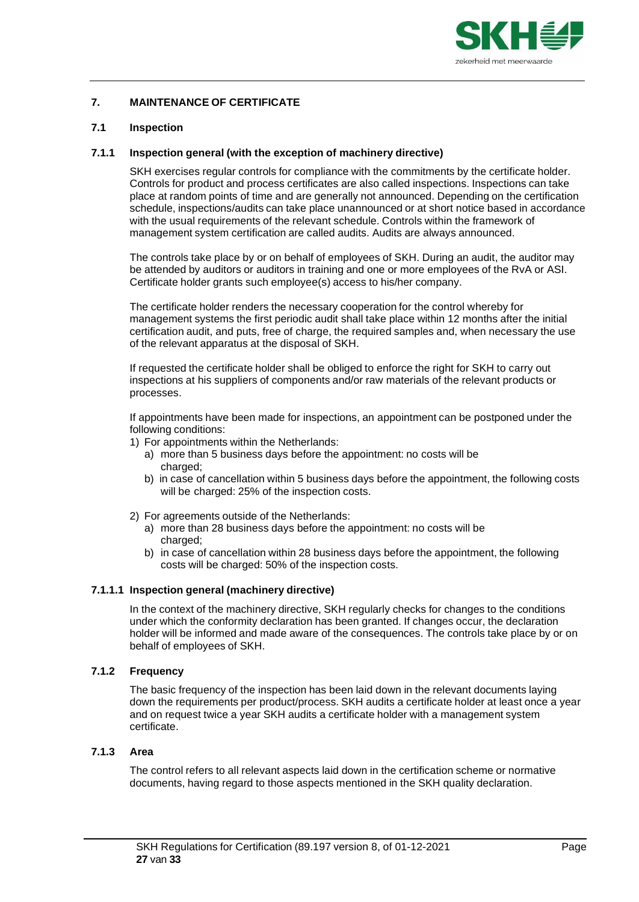

# <span id="page-26-0"></span>**7. MAINTENANCE OF CERTIFICATE**

#### <span id="page-26-1"></span>**7.1 Inspection**

#### <span id="page-26-2"></span>**7.1.1 Inspection general (with the exception of machinery directive)**

SKH exercises regular controls for compliance with the commitments by the certificate holder. Controls for product and process certificates are also called inspections. Inspections can take place at random points of time and are generally not announced. Depending on the certification schedule, inspections/audits can take place unannounced or at short notice based in accordance with the usual requirements of the relevant schedule. Controls within the framework of management system certification are called audits. Audits are always announced.

The controls take place by or on behalf of employees of SKH. During an audit, the auditor may be attended by auditors or auditors in training and one or more employees of the RvA or ASI. Certificate holder grants such employee(s) access to his/her company.

The certificate holder renders the necessary cooperation for the control whereby for management systems the first periodic audit shall take place within 12 months after the initial certification audit, and puts, free of charge, the required samples and, when necessary the use of the relevant apparatus at the disposal of SKH.

If requested the certificate holder shall be obliged to enforce the right for SKH to carry out inspections at his suppliers of components and/or raw materials of the relevant products or processes.

If appointments have been made for inspections, an appointment can be postponed under the following conditions:

- 1) For appointments within the Netherlands:
	- a) more than 5 business days before the appointment: no costs will be charged:
	- b) in case of cancellation within 5 business days before the appointment, the following costs will be charged: 25% of the inspection costs.
- 2) For agreements outside of the Netherlands:
	- a) more than 28 business days before the appointment: no costs will be charged;
	- b) in case of cancellation within 28 business days before the appointment, the following costs will be charged: 50% of the inspection costs.

## **7.1.1.1 Inspection general (machinery directive)**

In the context of the machinery directive, SKH regularly checks for changes to the conditions under which the conformity declaration has been granted. If changes occur, the declaration holder will be informed and made aware of the consequences. The controls take place by or on behalf of employees of SKH.

## <span id="page-26-3"></span>**7.1.2 Frequency**

The basic frequency of the inspection has been laid down in the relevant documents laying down the requirements per product/process. SKH audits a certificate holder at least once a year and on request twice a year SKH audits a certificate holder with a management system certificate.

## <span id="page-26-4"></span>**7.1.3 Area**

The control refers to all relevant aspects laid down in the certification scheme or normative documents, having regard to those aspects mentioned in the SKH quality declaration.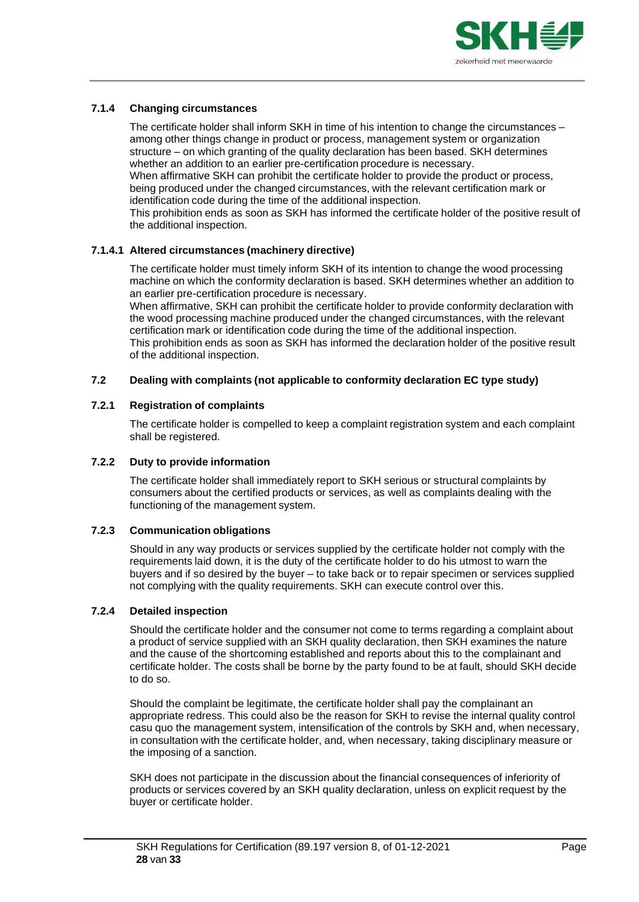

# <span id="page-27-0"></span>**7.1.4 Changing circumstances**

The certificate holder shall inform SKH in time of his intention to change the circumstances – among other things change in product or process, management system or organization structure – on which granting of the quality declaration has been based. SKH determines whether an addition to an earlier pre-certification procedure is necessary. When affirmative SKH can prohibit the certificate holder to provide the product or process,

being produced under the changed circumstances, with the relevant certification mark or identification code during the time of the additional inspection.

This prohibition ends as soon as SKH has informed the certificate holder of the positive result of the additional inspection.

## **7.1.4.1 Altered circumstances (machinery directive)**

The certificate holder must timely inform SKH of its intention to change the wood processing machine on which the conformity declaration is based. SKH determines whether an addition to an earlier pre-certification procedure is necessary.

When affirmative, SKH can prohibit the certificate holder to provide conformity declaration with the wood processing machine produced under the changed circumstances, with the relevant certification mark or identification code during the time of the additional inspection. This prohibition ends as soon as SKH has informed the declaration holder of the positive result of the additional inspection.

## <span id="page-27-1"></span>**7.2 Dealing with complaints (not applicable to conformity declaration EC type study)**

#### <span id="page-27-2"></span>**7.2.1 Registration of complaints**

The certificate holder is compelled to keep a complaint registration system and each complaint shall be registered.

#### <span id="page-27-3"></span>**7.2.2 Duty to provide information**

The certificate holder shall immediately report to SKH serious or structural complaints by consumers about the certified products or services, as well as complaints dealing with the functioning of the management system.

#### <span id="page-27-4"></span>**7.2.3 Communication obligations**

Should in any way products or services supplied by the certificate holder not comply with the requirements laid down, it is the duty of the certificate holder to do his utmost to warn the buyers and if so desired by the buyer – to take back or to repair specimen or services supplied not complying with the quality requirements. SKH can execute control over this.

#### <span id="page-27-5"></span>**7.2.4 Detailed inspection**

Should the certificate holder and the consumer not come to terms regarding a complaint about a product of service supplied with an SKH quality declaration, then SKH examines the nature and the cause of the shortcoming established and reports about this to the complainant and certificate holder. The costs shall be borne by the party found to be at fault, should SKH decide to do so.

Should the complaint be legitimate, the certificate holder shall pay the complainant an appropriate redress. This could also be the reason for SKH to revise the internal quality control casu quo the management system, intensification of the controls by SKH and, when necessary, in consultation with the certificate holder, and, when necessary, taking disciplinary measure or the imposing of a sanction.

SKH does not participate in the discussion about the financial consequences of inferiority of products or services covered by an SKH quality declaration, unless on explicit request by the buyer or certificate holder.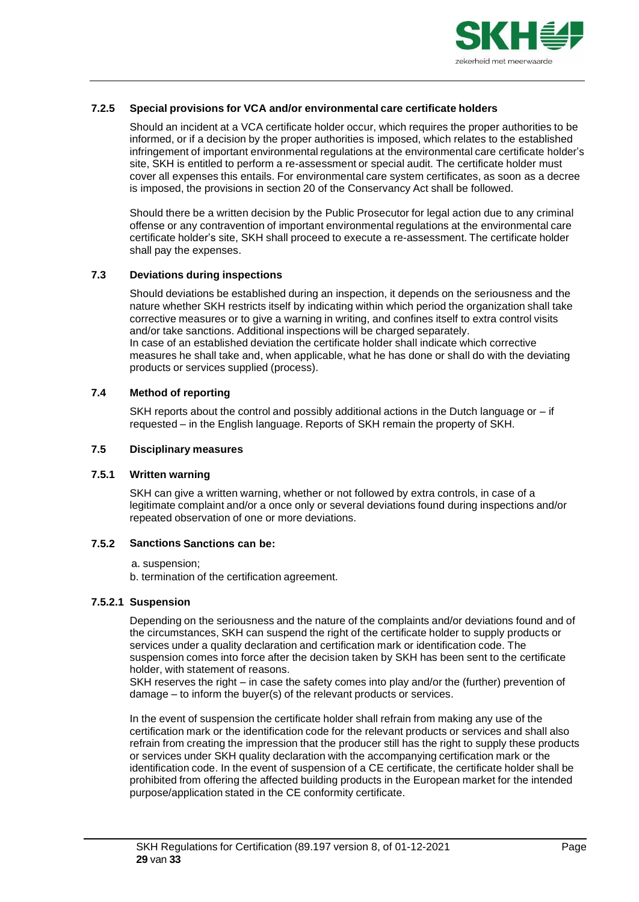

## <span id="page-28-0"></span>**7.2.5 Special provisions for VCA and/or environmental care certificate holders**

Should an incident at a VCA certificate holder occur, which requires the proper authorities to be informed, or if a decision by the proper authorities is imposed, which relates to the established infringement of important environmental regulations at the environmental care certificate holder's site, SKH is entitled to perform a re-assessment or special audit. The certificate holder must cover all expenses this entails. For environmental care system certificates, as soon as a decree is imposed, the provisions in section 20 of the Conservancy Act shall be followed.

Should there be a written decision by the Public Prosecutor for legal action due to any criminal offense or any contravention of important environmental regulations at the environmental care certificate holder's site, SKH shall proceed to execute a re-assessment. The certificate holder shall pay the expenses.

# <span id="page-28-1"></span>**7.3 Deviations during inspections**

Should deviations be established during an inspection, it depends on the seriousness and the nature whether SKH restricts itself by indicating within which period the organization shall take corrective measures or to give a warning in writing, and confines itself to extra control visits and/or take sanctions. Additional inspections will be charged separately. In case of an established deviation the certificate holder shall indicate which corrective measures he shall take and, when applicable, what he has done or shall do with the deviating products or services supplied (process).

# <span id="page-28-2"></span>**7.4 Method of reporting**

SKH reports about the control and possibly additional actions in the Dutch language or – if requested – in the English language. Reports of SKH remain the property of SKH.

#### <span id="page-28-3"></span>**7.5 Disciplinary measures**

# <span id="page-28-4"></span>**7.5.1 Written warning**

SKH can give a written warning, whether or not followed by extra controls, in case of a legitimate complaint and/or a once only or several deviations found during inspections and/or repeated observation of one or more deviations.

## <span id="page-28-5"></span>**7.5.2 Sanctions Sanctions can be:**

## a. suspension;

b. termination of the certification agreement.

## **7.5.2.1 Suspension**

Depending on the seriousness and the nature of the complaints and/or deviations found and of the circumstances, SKH can suspend the right of the certificate holder to supply products or services under a quality declaration and certification mark or identification code. The suspension comes into force after the decision taken by SKH has been sent to the certificate holder, with statement of reasons.

SKH reserves the right – in case the safety comes into play and/or the (further) prevention of damage – to inform the buyer(s) of the relevant products or services.

In the event of suspension the certificate holder shall refrain from making any use of the certification mark or the identification code for the relevant products or services and shall also refrain from creating the impression that the producer still has the right to supply these products or services under SKH quality declaration with the accompanying certification mark or the identification code. In the event of suspension of a CE certificate, the certificate holder shall be prohibited from offering the affected building products in the European market for the intended purpose/application stated in the CE conformity certificate.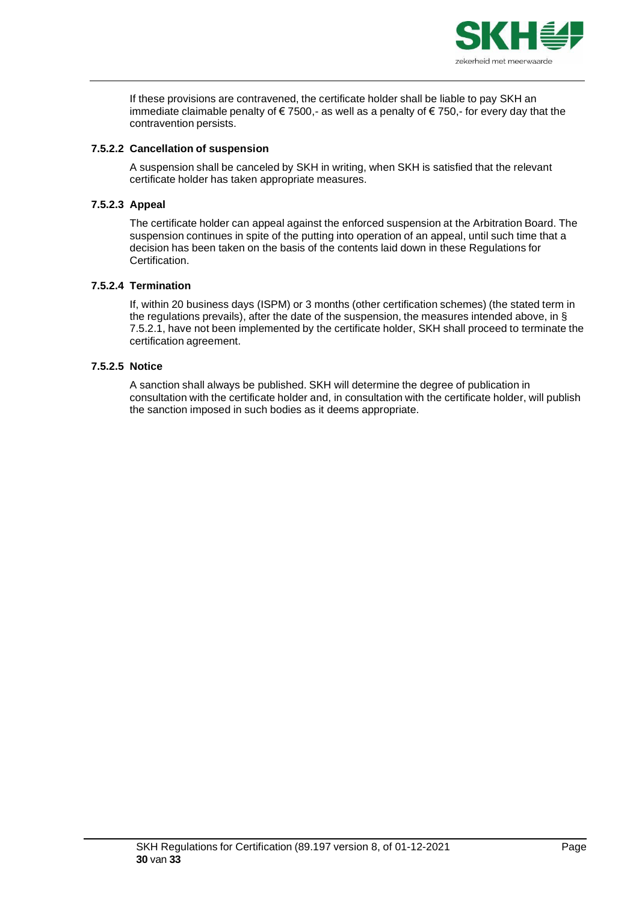

If these provisions are contravened, the certificate holder shall be liable to pay SKH an immediate claimable penalty of €7500,- as well as a penalty of €750,- for every day that the contravention persists.

## **7.5.2.2 Cancellation of suspension**

A suspension shall be canceled by SKH in writing, when SKH is satisfied that the relevant certificate holder has taken appropriate measures.

# **7.5.2.3 Appeal**

The certificate holder can appeal against the enforced suspension at the Arbitration Board. The suspension continues in spite of the putting into operation of an appeal, until such time that a decision has been taken on the basis of the contents laid down in these Regulations for Certification.

## **7.5.2.4 Termination**

If, within 20 business days (ISPM) or 3 months (other certification schemes) (the stated term in the regulations prevails), after the date of the suspension, the measures intended above, in § 7.5.2.1, have not been implemented by the certificate holder, SKH shall proceed to terminate the certification agreement.

# **7.5.2.5 Notice**

A sanction shall always be published. SKH will determine the degree of publication in consultation with the certificate holder and, in consultation with the certificate holder, will publish the sanction imposed in such bodies as it deems appropriate.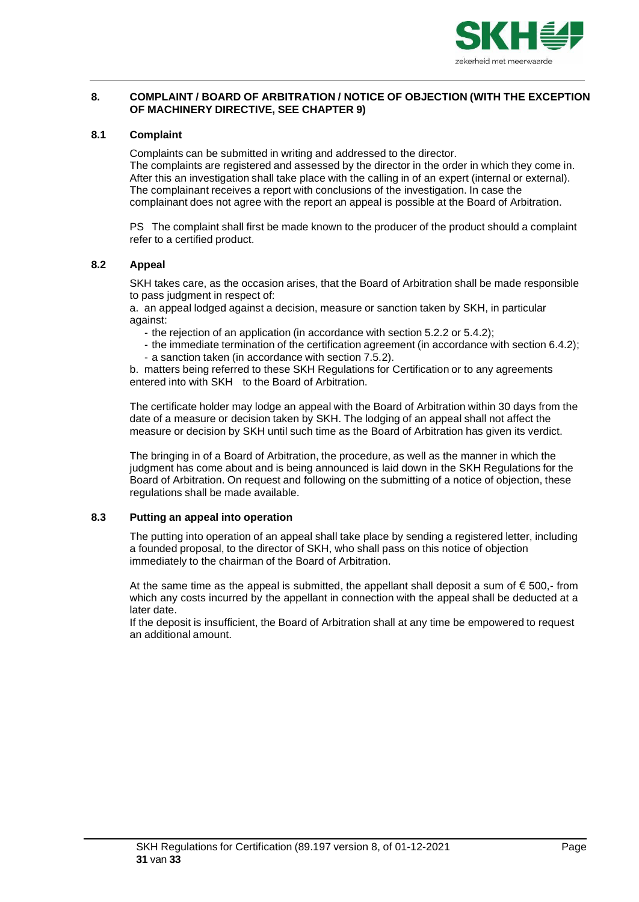

# <span id="page-30-0"></span>**8. COMPLAINT / BOARD OF ARBITRATION / NOTICE OF OBJECTION (WITH THE EXCEPTION OF MACHINERY DIRECTIVE, SEE CHAPTER 9)**

# <span id="page-30-1"></span>**8.1 Complaint**

Complaints can be submitted in writing and addressed to the director. The complaints are registered and assessed by the director in the order in which they come in. After this an investigation shall take place with the calling in of an expert (internal or external). The complainant receives a report with conclusions of the investigation. In case the complainant does not agree with the report an appeal is possible at the Board of Arbitration.

PS The complaint shall first be made known to the producer of the product should a complaint refer to a certified product.

# <span id="page-30-2"></span>**8.2 Appeal**

SKH takes care, as the occasion arises, that the Board of Arbitration shall be made responsible to pass judgment in respect of:

a. an appeal lodged against a decision, measure or sanction taken by SKH, in particular against:

- the rejection of an application (in accordance with section 5.2.2 or 5.4.2);
- the immediate termination of the certification agreement (in accordance with section 6.4.2); - a sanction taken (in accordance with section 7.5.2).

b. matters being referred to these SKH Regulations for Certification or to any agreements entered into with SKH to the Board of Arbitration.

The certificate holder may lodge an appeal with the Board of Arbitration within 30 days from the date of a measure or decision taken by SKH. The lodging of an appeal shall not affect the measure or decision by SKH until such time as the Board of Arbitration has given its verdict.

The bringing in of a Board of Arbitration, the procedure, as well as the manner in which the judgment has come about and is being announced is laid down in the SKH Regulations for the Board of Arbitration. On request and following on the submitting of a notice of objection, these regulations shall be made available.

## <span id="page-30-3"></span>**8.3 Putting an appeal into operation**

The putting into operation of an appeal shall take place by sending a registered letter, including a founded proposal, to the director of SKH, who shall pass on this notice of objection immediately to the chairman of the Board of Arbitration.

At the same time as the appeal is submitted, the appellant shall deposit a sum of  $\epsilon$  500,- from which any costs incurred by the appellant in connection with the appeal shall be deducted at a later date.

If the deposit is insufficient, the Board of Arbitration shall at any time be empowered to request an additional amount.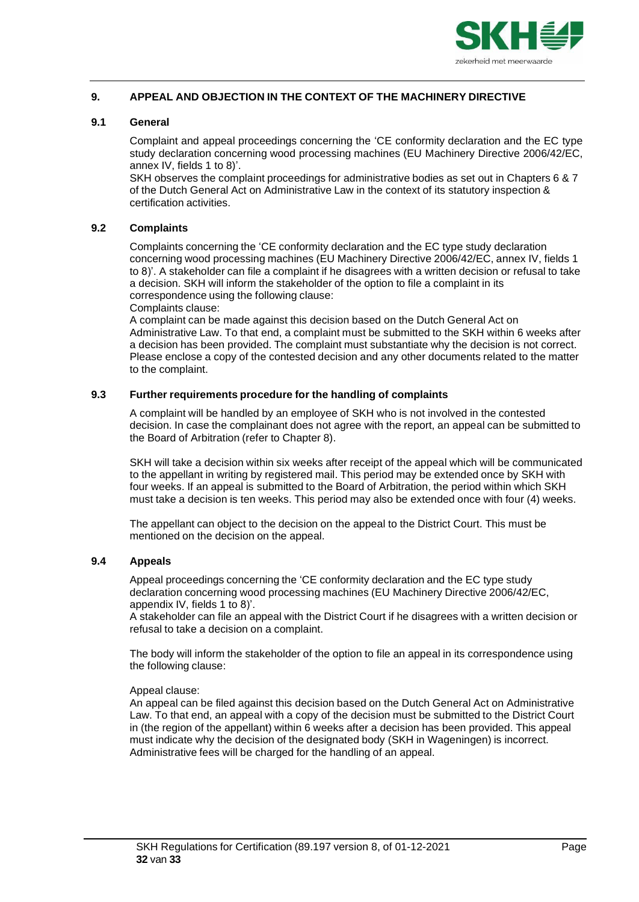

# <span id="page-31-0"></span>**9. APPEAL AND OBJECTION IN THE CONTEXT OF THE MACHINERY DIRECTIVE**

## <span id="page-31-1"></span>**9.1 General**

Complaint and appeal proceedings concerning the 'CE conformity declaration and the EC type study declaration concerning wood processing machines (EU Machinery Directive 2006/42/EC, annex IV, fields 1 to 8)'.

SKH observes the complaint proceedings for administrative bodies as set out in Chapters 6 & 7 of the Dutch General Act on Administrative Law in the context of its statutory inspection & certification activities.

#### <span id="page-31-2"></span>**9.2 Complaints**

Complaints concerning the 'CE conformity declaration and the EC type study declaration concerning wood processing machines (EU Machinery Directive 2006/42/EC, annex IV, fields 1 to 8)'. A stakeholder can file a complaint if he disagrees with a written decision or refusal to take a decision. SKH will inform the stakeholder of the option to file a complaint in its correspondence using the following clause:

Complaints clause:

A complaint can be made against this decision based on the Dutch General Act on Administrative Law. To that end, a complaint must be submitted to the SKH within 6 weeks after a decision has been provided. The complaint must substantiate why the decision is not correct. Please enclose a copy of the contested decision and any other documents related to the matter to the complaint.

#### <span id="page-31-3"></span>**9.3 Further requirements procedure for the handling of complaints**

A complaint will be handled by an employee of SKH who is not involved in the contested decision. In case the complainant does not agree with the report, an appeal can be submitted to the Board of Arbitration (refer to Chapter 8).

SKH will take a decision within six weeks after receipt of the appeal which will be communicated to the appellant in writing by registered mail. This period may be extended once by SKH with four weeks. If an appeal is submitted to the Board of Arbitration, the period within which SKH must take a decision is ten weeks. This period may also be extended once with four (4) weeks.

The appellant can object to the decision on the appeal to the District Court. This must be mentioned on the decision on the appeal.

# <span id="page-31-4"></span>**9.4 Appeals**

Appeal proceedings concerning the 'CE conformity declaration and the EC type study declaration concerning wood processing machines (EU Machinery Directive 2006/42/EC, appendix IV, fields 1 to 8)'.

A stakeholder can file an appeal with the District Court if he disagrees with a written decision or refusal to take a decision on a complaint.

The body will inform the stakeholder of the option to file an appeal in its correspondence using the following clause:

#### Appeal clause:

An appeal can be filed against this decision based on the Dutch General Act on Administrative Law. To that end, an appeal with a copy of the decision must be submitted to the District Court in (the region of the appellant) within 6 weeks after a decision has been provided. This appeal must indicate why the decision of the designated body (SKH in Wageningen) is incorrect. Administrative fees will be charged for the handling of an appeal.